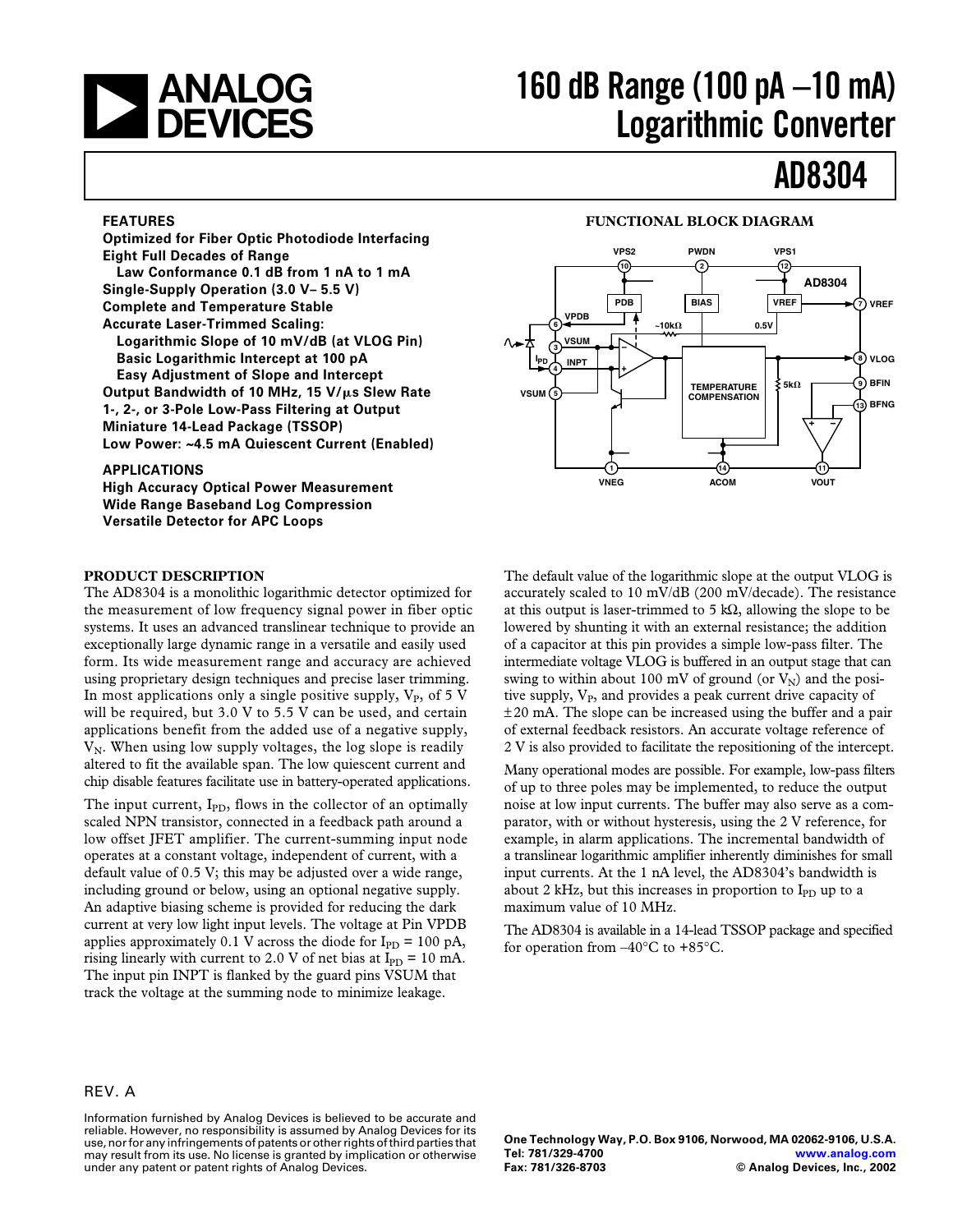

# **160 dB Range (100 pA –10 mA) Logarithmic Converter**

# **AD8304**

#### **FEATURES**

**Optimized for Fiber Optic Photodiode Interfacing Eight Full Decades of Range Law Conformance 0.1 dB from 1 nA to 1 mA Single-Supply Operation (3.0 V– 5.5 V) Complete and Temperature Stable Accurate Laser-Trimmed Scaling: Logarithmic Slope of 10 mV/dB (at VLOG Pin) Basic Logarithmic Intercept at 100 pA Easy Adjustment of Slope and Intercept Output Bandwidth of 10 MHz, 15 V/s Slew Rate 1-, 2-, or 3-Pole Low-Pass Filtering at Output Miniature 14-Lead Package (TSSOP) Low Power: ~4.5 mA Quiescent Current (Enabled)**

#### **APPLICATIONS**

**High Accuracy Optical Power Measurement Wide Range Baseband Log Compression Versatile Detector for APC Loops**

#### **PRODUCT DESCRIPTION**

The AD8304 is a monolithic logarithmic detector optimized for the measurement of low frequency signal power in fiber optic systems. It uses an advanced translinear technique to provide an exceptionally large dynamic range in a versatile and easily used form. Its wide measurement range and accuracy are achieved using proprietary design techniques and precise laser trimming. In most applications only a single positive supply,  $V_P$ , of 5 V will be required, but 3.0 V to 5.5 V can be used, and certain applications benefit from the added use of a negative supply,  $V_N$ . When using low supply voltages, the log slope is readily altered to fit the available span. The low quiescent current and chip disable features facilitate use in battery-operated applications.

The input current,  $I_{PD}$ , flows in the collector of an optimally scaled NPN transistor, connected in a feedback path around a low offset JFET amplifier. The current-summing input node operates at a constant voltage, independent of current, with a default value of 0.5 V; this may be adjusted over a wide range, including ground or below, using an optional negative supply. An adaptive biasing scheme is provided for reducing the dark current at very low light input levels. The voltage at Pin VPDB applies approximately 0.1 V across the diode for  $I_{\text{PD}} = 100 \text{ pA}$ , rising linearly with current to 2.0 V of net bias at  $I_{PD} = 10$  mA. The input pin INPT is flanked by the guard pins VSUM that track the voltage at the summing node to minimize leakage.

#### **FUNCTIONAL BLOCK DIAGRAM**



The default value of the logarithmic slope at the output VLOG is accurately scaled to 10 mV/dB (200 mV/decade). The resistance at this output is laser-trimmed to 5 kΩ, allowing the slope to be lowered by shunting it with an external resistance; the addition of a capacitor at this pin provides a simple low-pass filter. The intermediate voltage VLOG is buffered in an output stage that can swing to within about 100 mV of ground (or  $V_N$ ) and the positive supply, V<sub>P</sub>, and provides a peak current drive capacity of  $\pm 20$  mA. The slope can be increased using the buffer and a pair of external feedback resistors. An accurate voltage reference of 2 V is also provided to facilitate the repositioning of the intercept.

Many operational modes are possible. For example, low-pass filters of up to three poles may be implemented, to reduce the output noise at low input currents. The buffer may also serve as a comparator, with or without hysteresis, using the 2 V reference, for example, in alarm applications. The incremental bandwidth of a translinear logarithmic amplifier inherently diminishes for small input currents. At the 1 nA level, the AD8304's bandwidth is about 2 kHz, but this increases in proportion to  $I_{\text{PD}}$  up to a maximum value of 10 MHz.

The AD8304 is available in a 14-lead TSSOP package and specified for operation from  $-40^{\circ}$ C to  $+85^{\circ}$ C.

#### REV. A

Information furnished by Analog Devices is believed to be accurate and reliable. However, no responsibility is assumed by Analog Devices for its use, nor for any infringements of patents or other rights of third parties that may result from its use. No license is granted by implication or otherwise under any patent or patent rights of Analog Devices.

**One Technology Way, P.O. Box 9106, Norwood, MA 02062-9106, U.S.A. Tel: 781/329-4700 [www.analog.com](http://www.analog.com)**  $©$  Analog Devices, Inc., 2002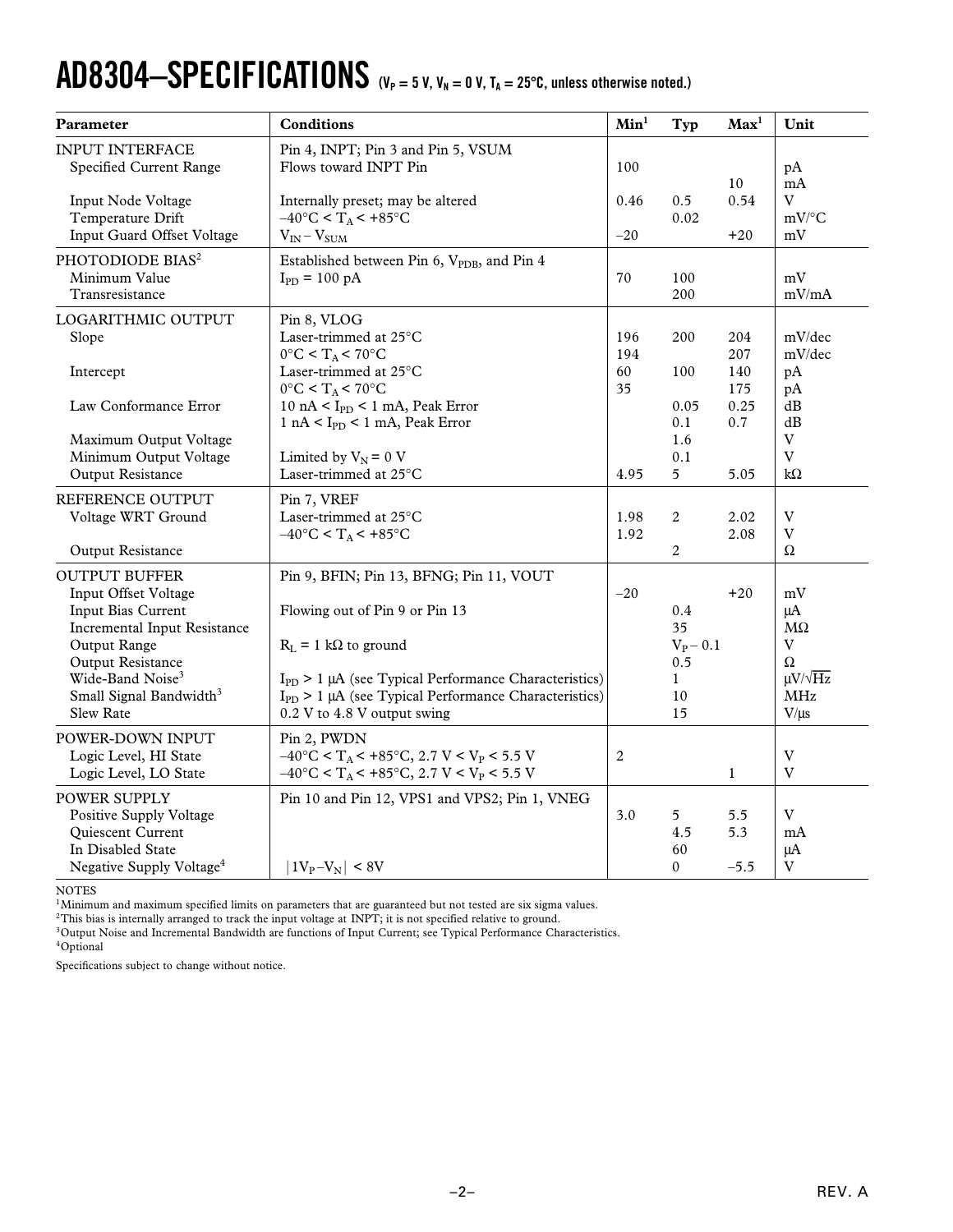# $AD8304-SPECIFICATIONS$   $(V_P = 5 V, V_N = 0 V, T_A = 25°C,$  unless otherwise noted.)

| Parameter                                                                                                                 | <b>Conditions</b>                                                                                                                                                          | Min <sup>1</sup> | Typ                              | Max <sup>1</sup>     | Unit                                    |
|---------------------------------------------------------------------------------------------------------------------------|----------------------------------------------------------------------------------------------------------------------------------------------------------------------------|------------------|----------------------------------|----------------------|-----------------------------------------|
| <b>INPUT INTERFACE</b><br>Specified Current Range                                                                         | Pin 4, INPT; Pin 3 and Pin 5, VSUM<br>Flows toward INPT Pin                                                                                                                | 100              |                                  | 10                   | pA<br>mA                                |
| Input Node Voltage<br>Temperature Drift<br>Input Guard Offset Voltage                                                     | Internally preset; may be altered<br>$-40^{\circ}$ C < T <sub>A</sub> < +85 $^{\circ}$ C                                                                                   | 0.46<br>$-20$    | 0.5<br>0.02                      | 0.54                 | V<br>$mV$ /°C                           |
|                                                                                                                           | $V_{IN} - V_{SUM}$                                                                                                                                                         |                  |                                  | $+20$                | mV                                      |
| PHOTODIODE BIAS <sup>2</sup><br>Minimum Value<br>Transresistance                                                          | Established between Pin 6, V <sub>PDB</sub> , and Pin 4<br>$I_{PD} = 100 pA$                                                                                               | 70               | 100<br>200                       |                      | mV<br>mV/mA                             |
| LOGARITHMIC OUTPUT<br>Slope                                                                                               | Pin 8, VLOG<br>Laser-trimmed at $25^{\circ}$ C<br>$0^{\circ}$ C < T <sub>A</sub> < 70°C                                                                                    | 196<br>194       | 200                              | 204<br>207           | mV/dec<br>mV/dec                        |
| Intercept                                                                                                                 | Laser-trimmed at $25^{\circ}$ C<br>$0^{\circ}$ C < T <sub>A</sub> < 70°C                                                                                                   | 60<br>35         | 100                              | 140<br>175           | pA<br>pA                                |
| Law Conformance Error                                                                                                     | $10 \text{ nA} < I_{PD} < 1 \text{ mA}$ , Peak Error<br>$1 nA < I_{PD} < 1 mA$ , Peak Error                                                                                |                  | 0.05<br>0.1                      | 0.25<br>0.7          | dB<br>dB                                |
| Maximum Output Voltage<br>Minimum Output Voltage<br>Output Resistance                                                     | Limited by $V_N = 0$ V<br>Laser-trimmed at 25°C                                                                                                                            | 4.95             | 1.6<br>0.1<br>$5\overline{)}$    | 5.05                 | $\mathbf V$<br>V<br>k $\Omega$          |
| REFERENCE OUTPUT                                                                                                          | Pin 7, VREF                                                                                                                                                                |                  |                                  |                      |                                         |
| Voltage WRT Ground                                                                                                        | Laser-trimmed at 25°C<br>$-40\degree C < T_A < +85\degree C$                                                                                                               | 1.98<br>1.92     | 2                                | 2.02<br>2.08         | $\mathbf V$<br>V                        |
| Output Resistance                                                                                                         |                                                                                                                                                                            |                  | $\overline{c}$                   |                      | Ω                                       |
| <b>OUTPUT BUFFER</b><br>Input Offset Voltage                                                                              | Pin 9, BFIN; Pin 13, BFNG; Pin 11, VOUT                                                                                                                                    | $-20$            |                                  | $+20$                | mV                                      |
| Input Bias Current<br>Incremental Input Resistance                                                                        | Flowing out of Pin 9 or Pin 13                                                                                                                                             |                  | 0.4<br>35                        |                      | $\mu A$<br>$\rm M\Omega$                |
| Output Range<br>Output Resistance                                                                                         | $R_L = 1 k\Omega$ to ground                                                                                                                                                |                  | $V_P - 0.1$<br>0.5               |                      | V<br>$\Omega$                           |
| Wide-Band Noise <sup>3</sup><br>Small Signal Bandwidth <sup>3</sup><br>Slew Rate                                          | $I_{PD}$ > 1 µA (see Typical Performance Characteristics)<br>$I_{PD}$ > 1 µA (see Typical Performance Characteristics)<br>0.2 V to 4.8 V output swing                      |                  | $\mathbf{1}$<br>10<br>15         |                      | $\mu V / \sqrt{Hz}$<br>MHz<br>$V/\mu s$ |
| POWER-DOWN INPUT<br>Logic Level, HI State<br>Logic Level, LO State                                                        | Pin 2, PWDN<br>$-40\degree C < T_A < +85\degree C$ , 2.7 V < V <sub>P</sub> < 5.5 V<br>$-40^{\circ}$ C < T <sub>A</sub> < +85 $^{\circ}$ C, 2.7 V < V <sub>P</sub> < 5.5 V | $\boldsymbol{2}$ |                                  | $\mathbf{1}$         | V<br>V                                  |
| POWER SUPPLY<br>Positive Supply Voltage<br>Quiescent Current<br>In Disabled State<br>Negative Supply Voltage <sup>4</sup> | Pin 10 and Pin 12, VPS1 and VPS2; Pin 1, VNEG<br>$ 1V_P - V_N  < 8V$                                                                                                       | 3.0              | 5<br>4.5<br>60<br>$\overline{0}$ | 5.5<br>5.3<br>$-5.5$ | V<br>mA<br>$\mu A$<br>V                 |

NOTES

<sup>1</sup>Minimum and maximum specified limits on parameters that are guaranteed but not tested are six sigma values.

 ${}^{2}$ This bias is internally arranged to track the input voltage at INPT; it is not specified relative to ground.

<sup>3</sup>Output Noise and Incremental Bandwidth are functions of Input Current; see Typical Performance Characteristics.

 $^4\mathrm{Optional}$ 

Specifications subject to change without notice.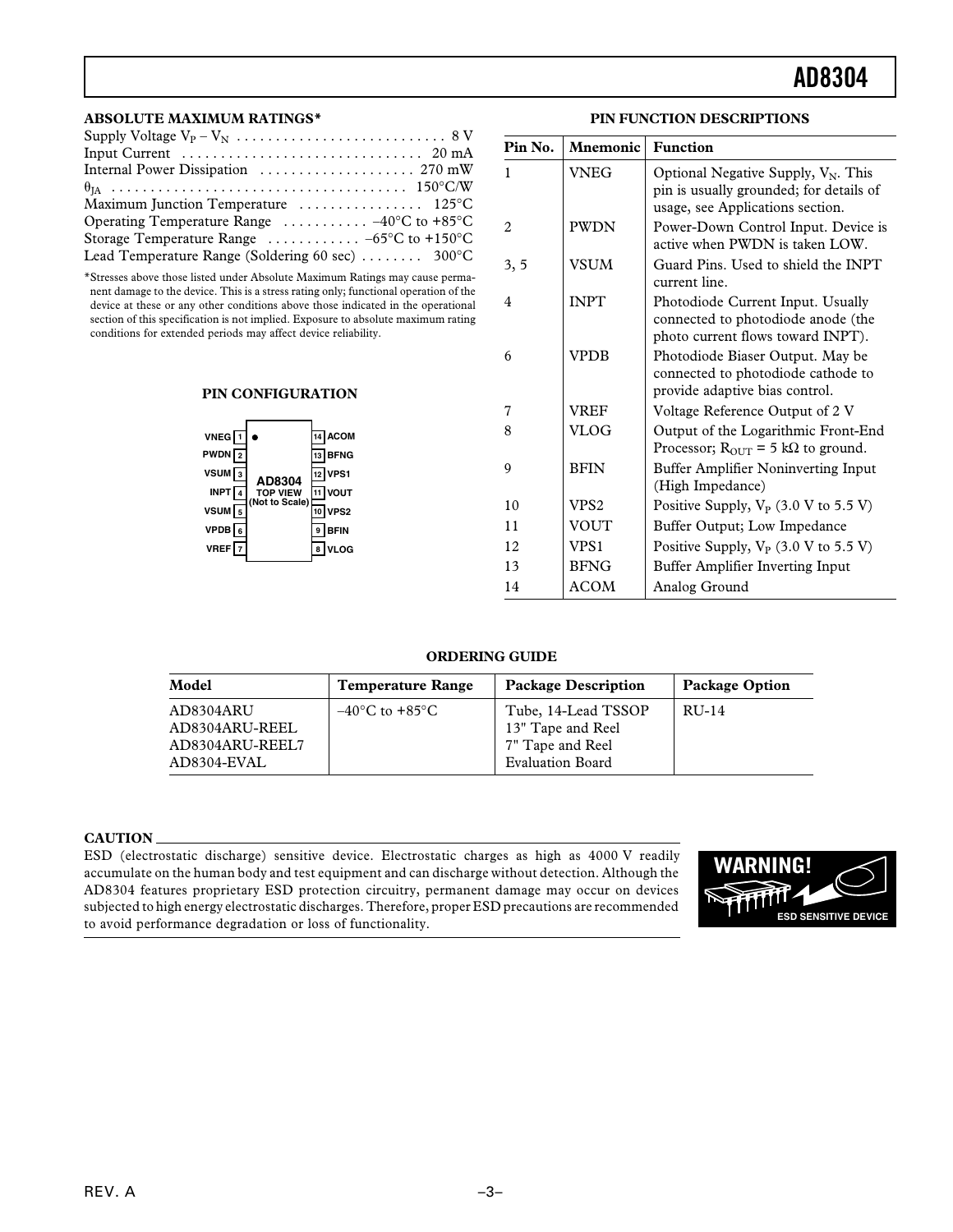#### **ABSOLUTE MAXIMUM RATINGS\***

| Input Current $\dots\dots\dots\dots\dots\dots\dots\dots\dots\dots$ 20 mA |
|--------------------------------------------------------------------------|
|                                                                          |
|                                                                          |
| Maximum Junction Temperature  125°C                                      |
| Operating Temperature Range $\ldots \ldots \ldots -40^{\circ}C$ to +85°C |
| Storage Temperature Range $\ldots \ldots \ldots -65$ °C to +150°C        |
| Lead Temperature Range (Soldering 60 sec)  300°C                         |

\*Stresses above those listed under Absolute Maximum Ratings may cause permanent damage to the device. This is a stress rating only; functional operation of the device at these or any other conditions above those indicated in the operational section of this specification is not implied. Exposure to absolute maximum rating conditions for extended periods may affect device reliability.

#### **PIN CONFIGURATION**



| Pin No. | Mnemonic    | <b>Function</b>                                                                                                       |
|---------|-------------|-----------------------------------------------------------------------------------------------------------------------|
| 1       | VNEG        | Optional Negative Supply, $V_N$ . This<br>pin is usually grounded; for details of<br>usage, see Applications section. |
| 2       | <b>PWDN</b> | Power-Down Control Input. Device is<br>active when PWDN is taken LOW.                                                 |
| 3, 5    | <b>VSUM</b> | Guard Pins. Used to shield the INPT<br>current line.                                                                  |
| 4       | <b>INPT</b> | Photodiode Current Input. Usually<br>connected to photodiode anode (the<br>photo current flows toward INPT).          |
| 6       | <b>VPDB</b> | Photodiode Biaser Output. May be<br>connected to photodiode cathode to<br>provide adaptive bias control.              |
| 7       | <b>VREF</b> | Voltage Reference Output of 2 V                                                                                       |
| 8       | <b>VLOG</b> | Output of the Logarithmic Front-End<br>Processor; $R_{\text{OUT}} = 5 \text{ k}\Omega$ to ground.                     |
| 9       | <b>BFIN</b> | Buffer Amplifier Noninverting Input<br>(High Impedance)                                                               |
| 10      | VPS2        | Positive Supply, $V_P$ (3.0 V to 5.5 V)                                                                               |
| 11      | VOUT        | Buffer Output; Low Impedance                                                                                          |
| 12      | VPS1        | Positive Supply, $V_P$ (3.0 V to 5.5 V)                                                                               |
| 13      | <b>BFNG</b> | Buffer Amplifier Inverting Input                                                                                      |
| 14      | <b>ACOM</b> | Analog Ground                                                                                                         |

**PIN FUNCTION DESCRIPTIONS**

#### **ORDERING GUIDE**

| Model                                                         | <b>Temperature Range</b>           | <b>Package Description</b>                                                              | <b>Package Option</b> |
|---------------------------------------------------------------|------------------------------------|-----------------------------------------------------------------------------------------|-----------------------|
| AD8304ARU<br>AD8304ARU-REEL<br>AD8304ARU-REEL7<br>AD8304-EVAL | $-40^{\circ}$ C to $+85^{\circ}$ C | Tube, 14-Lead TSSOP<br>13" Tape and Reel<br>7" Tape and Reel<br><b>Evaluation Board</b> | RU-14                 |

#### **CAUTION**

ESD (electrostatic discharge) sensitive device. Electrostatic charges as high as 4000 V readily accumulate on the human body and test equipment and can discharge without detection. Although the AD8304 features proprietary ESD protection circuitry, permanent damage may occur on devices subjected to high energy electrostatic discharges. Therefore, proper ESD precautions are recommended to avoid performance degradation or loss of functionality.

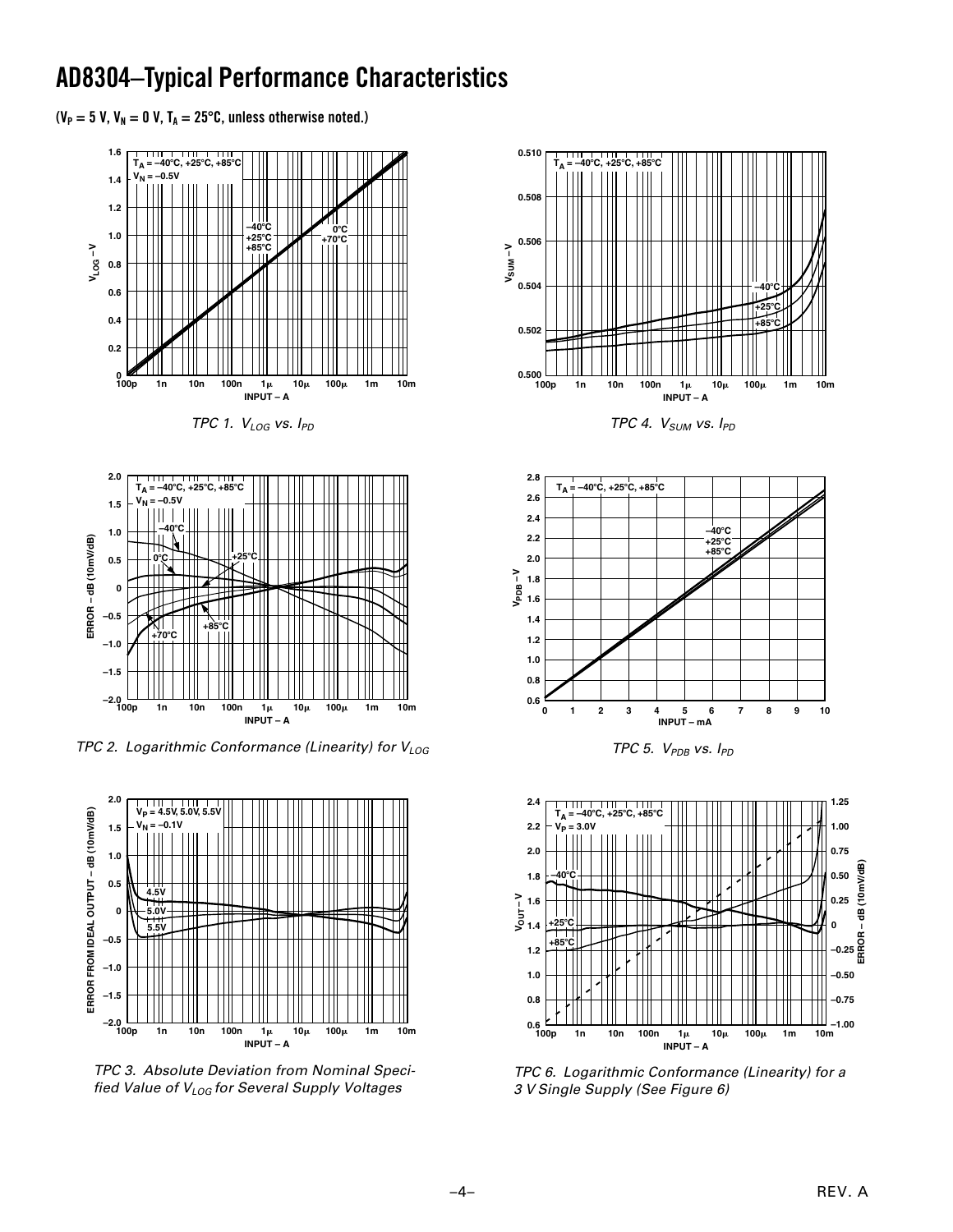### **AD8304–Typical Performance Characteristics**

 $(V_P = 5 V, V_N = 0 V, T_A = 25^{\circ}C,$  unless otherwise noted.)



TPC 1.  $V_{LOG}$  vs.  $I_{PD}$ 



TPC 2. Logarithmic Conformance (Linearity) for  $V_{LOG}$ 



TPC 3. Absolute Deviation from Nominal Specified Value of  $V_{LOG}$  for Several Supply Voltages



TPC 4.  $V_{SUM}$  vs.  $I_{PD}$ 



TPC 5.  $V_{PDB}$  vs.  $I_{PD}$ 



TPC 6. Logarithmic Conformance (Linearity) for a 3 V Single Supply (See Figure 6)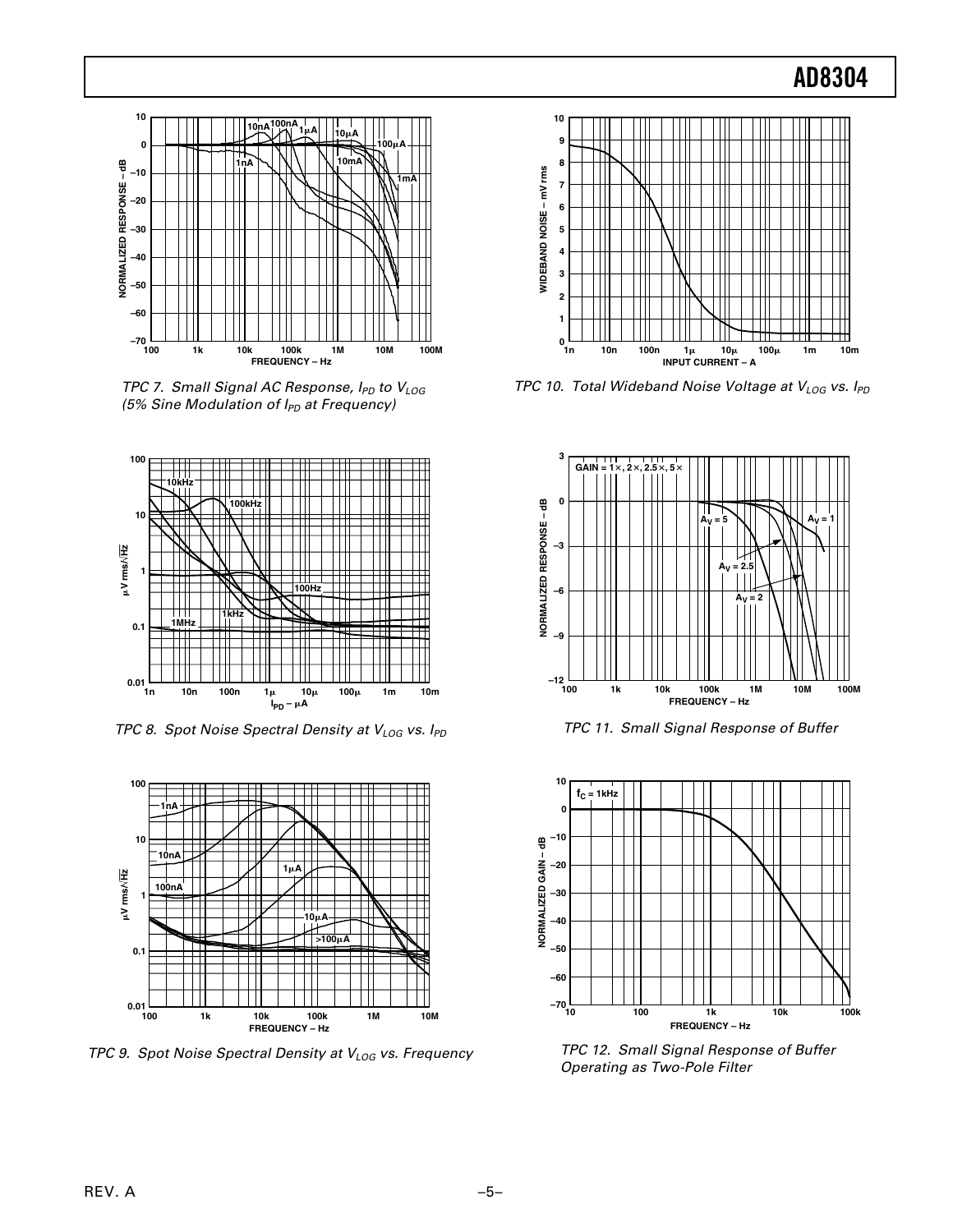

TPC 7. Small Signal AC Response,  $I_{PD}$  to  $V_{LOG}$ (5% Sine Modulation of  $I_{PD}$  at Frequency)



TPC 8. Spot Noise Spectral Density at  $V_{LOG}$  vs.  $I_{PD}$ 



TPC 9. Spot Noise Spectral Density at  $V_{LOG}$  vs. Frequency



TPC 10. Total Wideband Noise Voltage at  $V_{LOG}$  vs.  $I_{PD}$ 



TPC 11. Small Signal Response of Buffer



TPC 12. Small Signal Response of Buffer Operating as Two-Pole Filter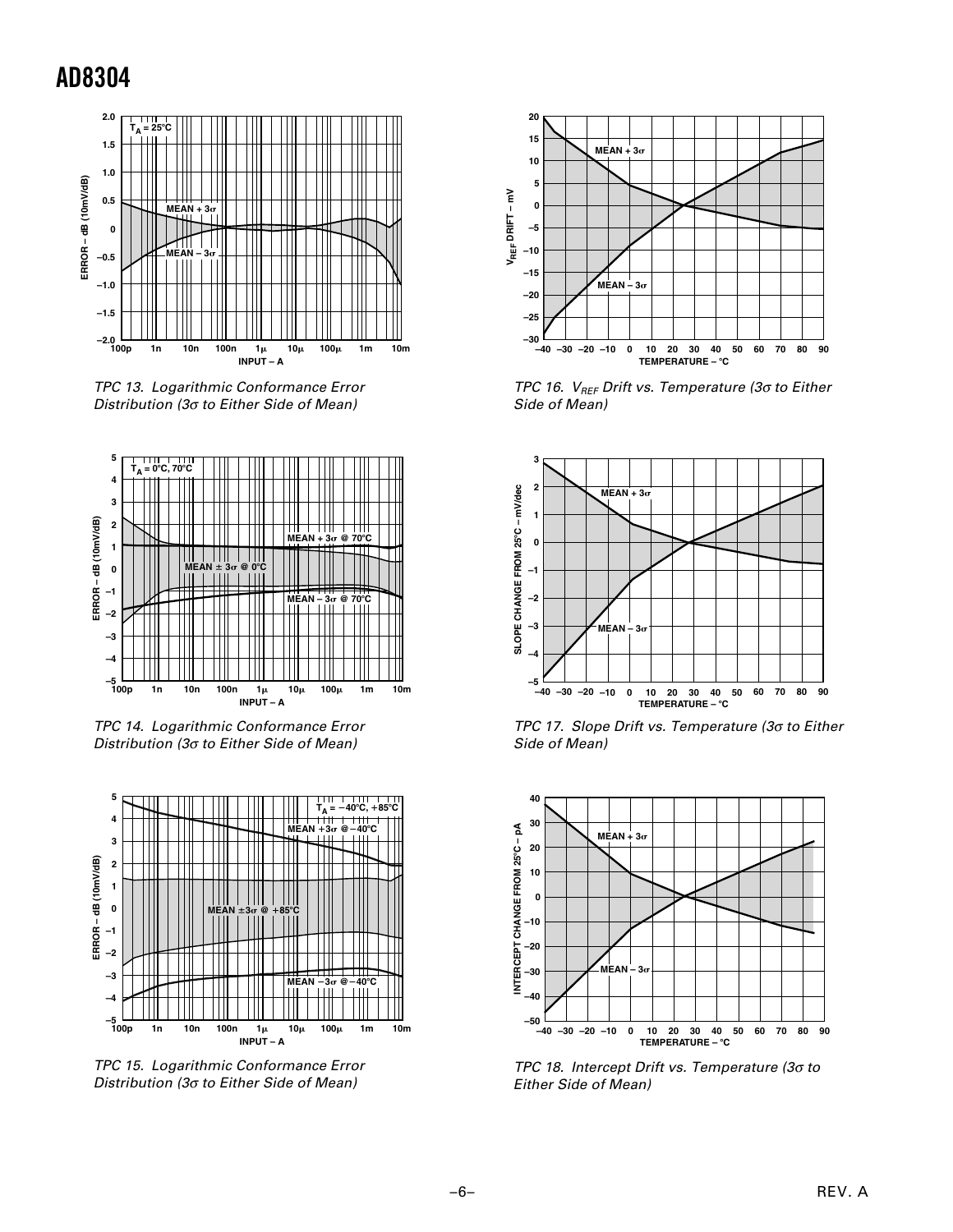

TPC 13. Logarithmic Conformance Error Distribution (3σ to Either Side of Mean)



TPC 14. Logarithmic Conformance Error Distribution (3σ to Either Side of Mean)



TPC 15. Logarithmic Conformance Error Distribution (3σ to Either Side of Mean)



TPC 16. V<sub>REF</sub> Drift vs. Temperature (3 $\sigma$  to Either Side of Mean)



TPC 17. Slope Drift vs. Temperature (3σ to Either Side of Mean)



TPC 18. Intercept Drift vs. Temperature (3σ to Either Side of Mean)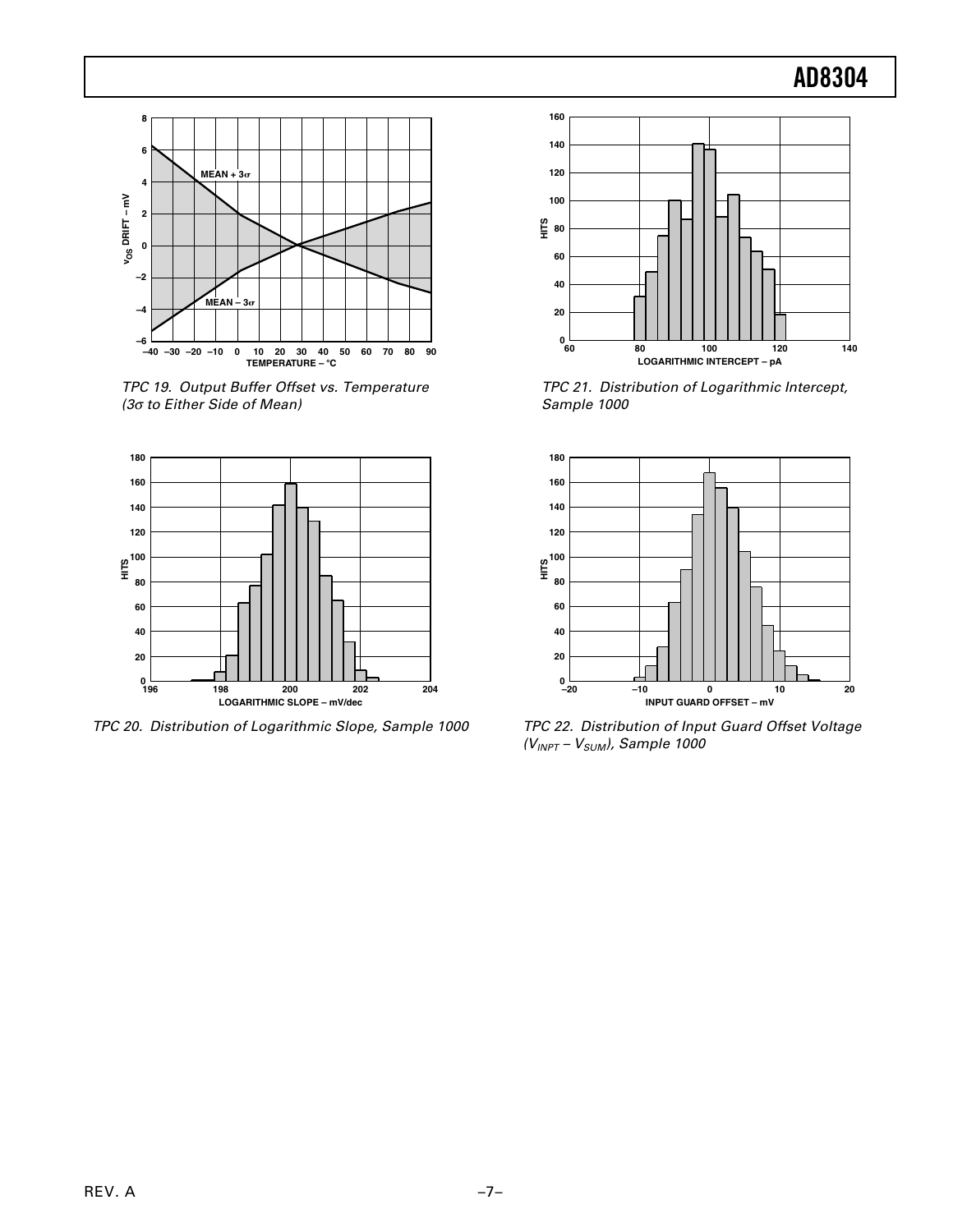

TPC 19. Output Buffer Offset vs. Temperature (3σ to Either Side of Mean)



TPC 20. Distribution of Logarithmic Slope, Sample 1000



TPC 21. Distribution of Logarithmic Intercept, Sample 1000



TPC 22. Distribution of Input Guard Offset Voltage  $(V_{INT} - V_{SUM}$ , Sample 1000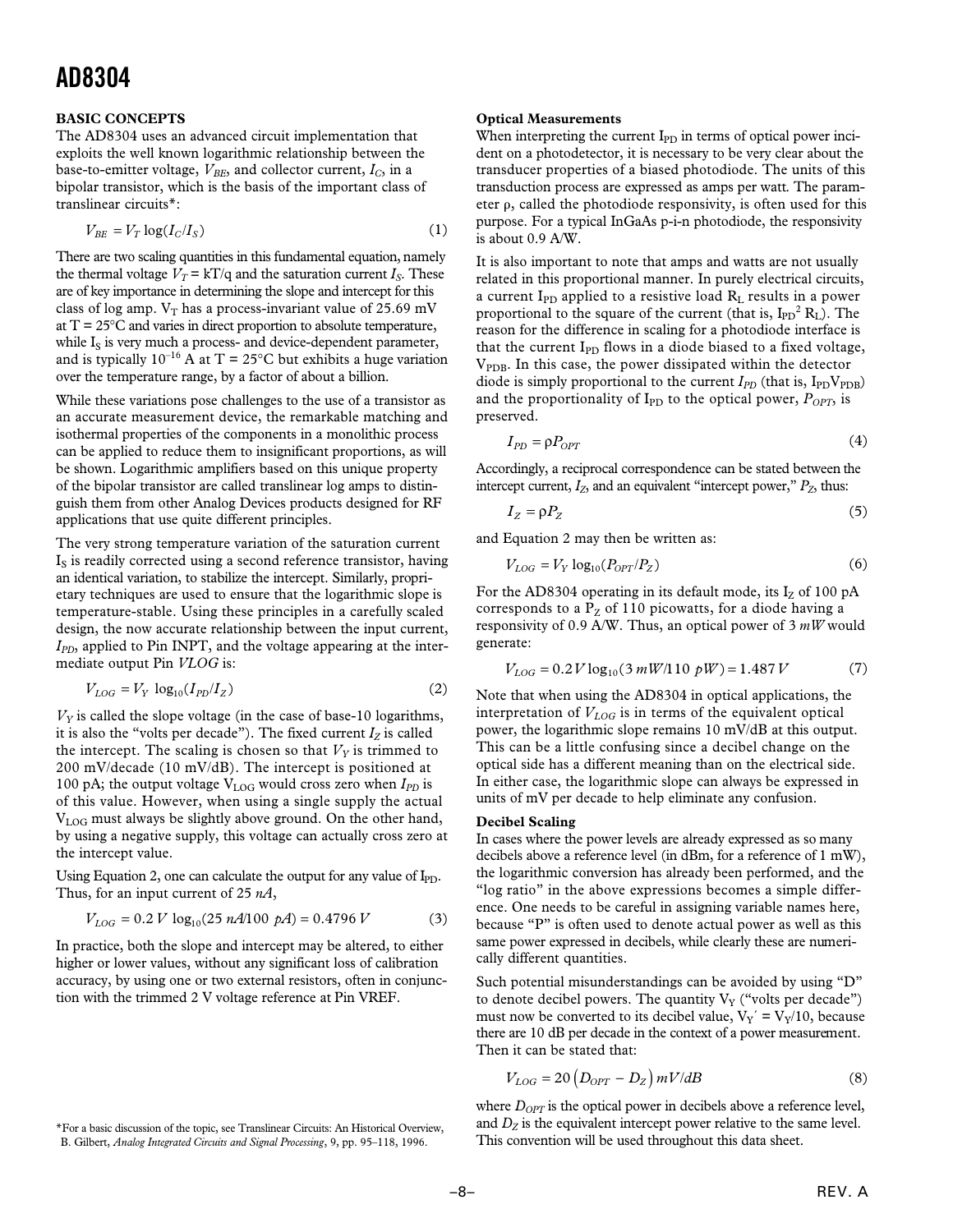#### **BASIC CONCEPTS**

The AD8304 uses an advanced circuit implementation that exploits the well known logarithmic relationship between the base-to-emitter voltage,  $V_{BE}$ , and collector current,  $I_C$ , in a bipolar transistor, which is the basis of the important class of translinear circuits\*:

$$
V_{BE} = V_T \log(I_C/I_S) \tag{1}
$$

There are two scaling quantities in this fundamental equation, namely the thermal voltage  $V_T = kT/q$  and the saturation current  $I_S$ . These are of key importance in determining the slope and intercept for this class of log amp.  $V_T$  has a process-invariant value of 25.69 mV at  $T = 25^{\circ}$ C and varies in direct proportion to absolute temperature, while I<sub>S</sub> is very much a process- and device-dependent parameter, and is typically  $10^{-16}$  A at T = 25°C but exhibits a huge variation over the temperature range, by a factor of about a billion.

While these variations pose challenges to the use of a transistor as an accurate measurement device, the remarkable matching and isothermal properties of the components in a monolithic process can be applied to reduce them to insignificant proportions, as will be shown. Logarithmic amplifiers based on this unique property of the bipolar transistor are called translinear log amps to distinguish them from other Analog Devices products designed for RF applications that use quite different principles.

The very strong temperature variation of the saturation current  $I<sub>S</sub>$  is readily corrected using a second reference transistor, having an identical variation, to stabilize the intercept. Similarly, proprietary techniques are used to ensure that the logarithmic slope is temperature-stable. Using these principles in a carefully scaled design, the now accurate relationship between the input current, *I<sub>PD</sub>*, applied to Pin INPT, and the voltage appearing at the intermediate output Pin *VLOG* is:

$$
V_{LOG} = V_Y \log_{10}(I_{PD}/I_Z) \tag{2}
$$

 $V<sub>Y</sub>$  is called the slope voltage (in the case of base-10 logarithms, it is also the "volts per decade"). The fixed current  $I_Z$  is called the intercept. The scaling is chosen so that  $V<sub>y</sub>$  is trimmed to 200 mV/decade (10 mV/dB). The intercept is positioned at 100 pA; the output voltage  $V_{LOG}$  would cross zero when  $I_{PD}$  is of this value. However, when using a single supply the actual VLOG must always be slightly above ground. On the other hand, by using a negative supply, this voltage can actually cross zero at the intercept value.

Using Equation 2, one can calculate the output for any value of  $I_{\text{PD}}$ . Thus, for an input current of 25 *nA*,

$$
V_{LOG} = 0.2 V \log_{10}(25 nA/100 pA) = 0.4796 V \tag{3}
$$

In practice, both the slope and intercept may be altered, to either higher or lower values, without any significant loss of calibration accuracy, by using one or two external resistors, often in conjunction with the trimmed 2 V voltage reference at Pin VREF.

**Optical Measurements**

When interpreting the current  $I_{PD}$  in terms of optical power incident on a photodetector, it is necessary to be very clear about the transducer properties of a biased photodiode. The units of this transduction process are expressed as amps per watt. The parameter  $\rho$ , called the photodiode responsivity, is often used for this purpose. For a typical InGaAs p-i-n photodiode, the responsivity is about 0.9 A/W.

It is also important to note that amps and watts are not usually related in this proportional manner. In purely electrical circuits, a current  $I_{PD}$  applied to a resistive load  $R_L$  results in a power proportional to the square of the current (that is,  $I_{PD}{}^2 R_L$ ). The reason for the difference in scaling for a photodiode interface is that the current  $I_{PD}$  flows in a diode biased to a fixed voltage,  $V_{\text{PDB}}$ . In this case, the power dissipated within the detector diode is simply proportional to the current  $I_{PD}$  (that is,  $I_{PD}V_{PDB}$ ) and the proportionality of  $I_{\text{PD}}$  to the optical power,  $P_{OPT}$ , is preserved.

$$
I_{PD} = \rho P_{OPT} \tag{4}
$$

Accordingly, a reciprocal correspondence can be stated between the intercept current,  $I_Z$ , and an equivalent "intercept power,"  $P_Z$ , thus:

$$
I_Z = \rho P_Z \tag{5}
$$

and Equation 2 may then be written as:

$$
V_{LOG} = V_Y \log_{10}(P_{OPT}/P_Z)
$$
 (6)

For the AD8304 operating in its default mode, its  $I_z$  of 100 pA corresponds to a  $P_Z$  of 110 picowatts, for a diode having a responsivity of 0.9 A/W. Thus, an optical power of 3 *mW* would generate:

$$
V_{LOG} = 0.2 V \log_{10}(3 mW/110 pW) = 1.487 V \tag{7}
$$

Note that when using the AD8304 in optical applications, the interpretation of  $V_{LOG}$  is in terms of the equivalent optical power, the logarithmic slope remains 10 mV/dB at this output. This can be a little confusing since a decibel change on the optical side has a different meaning than on the electrical side. In either case, the logarithmic slope can always be expressed in units of mV per decade to help eliminate any confusion.

#### **Decibel Scaling**

In cases where the power levels are already expressed as so many decibels above a reference level (in dBm, for a reference of 1 mW), the logarithmic conversion has already been performed, and the "log ratio" in the above expressions becomes a simple difference. One needs to be careful in assigning variable names here, because "P" is often used to denote actual power as well as this same power expressed in decibels, while clearly these are numerically different quantities.

Such potential misunderstandings can be avoided by using "D" to denote decibel powers. The quantity  $V_Y$  ("volts per decade") must now be converted to its decibel value,  $V_Y' = V_Y/10$ , because there are 10 dB per decade in the context of a power measurement. Then it can be stated that:

$$
V_{LOG} = 20 \left( D_{OPT} - D_Z \right) mV/dB \tag{8}
$$

where  $D_{OPT}$  is the optical power in decibels above a reference level, and  $D<sub>Z</sub>$  is the equivalent intercept power relative to the same level.

<sup>\*</sup>For a basic discussion of the topic, see Translinear Circuits: An Historical Overview, and  $D_Z$  is the equivalent intercept power relative to the signal Processing, 9, pp. 95–118, 1996. This convention will be used throu B. Gilbert, *Analog Integrated Circuits and Signal Processing*, 9, pp. 95–118, 1996.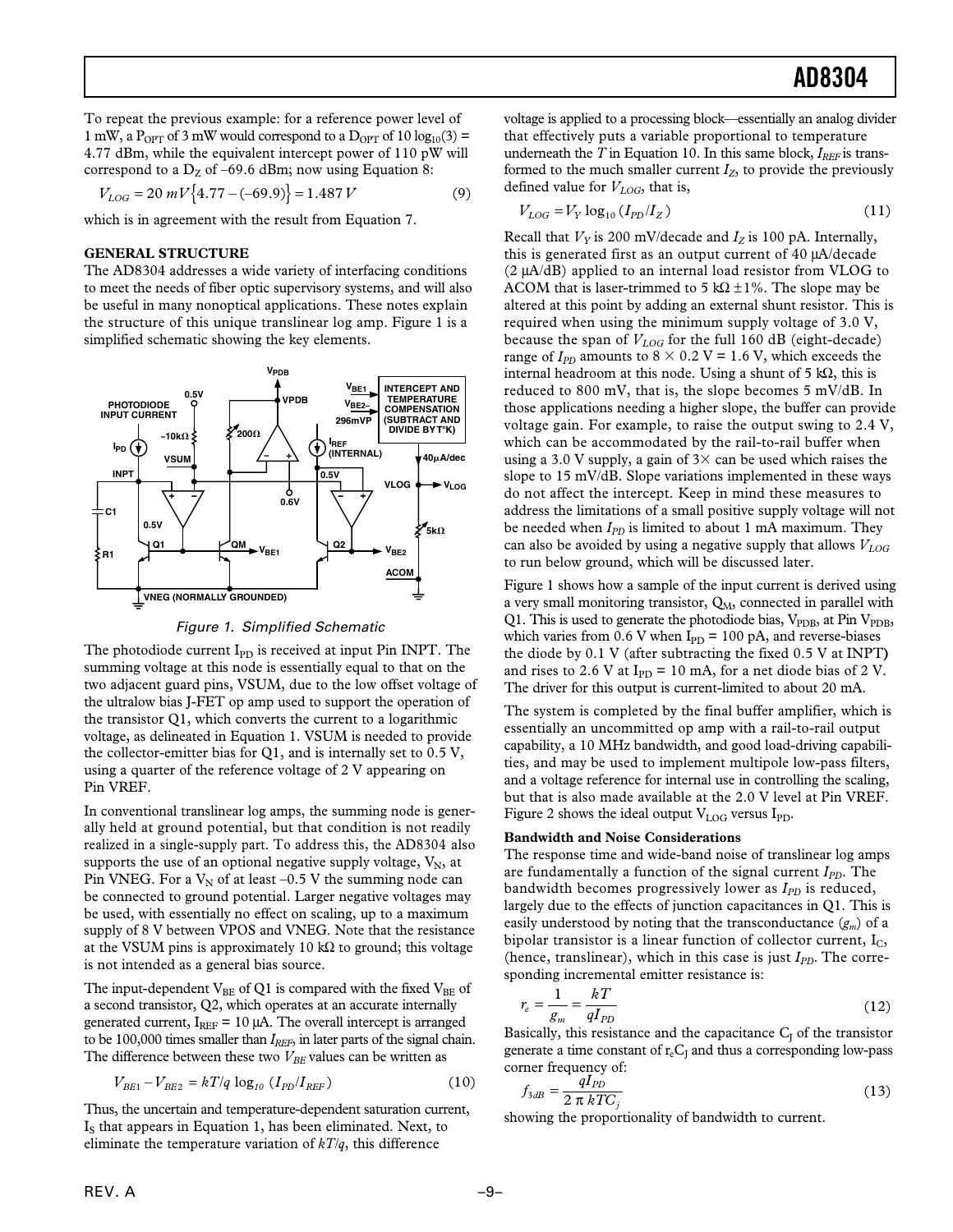To repeat the previous example: for a reference power level of 1 mW, a P<sub>OPT</sub> of 3 mW would correspond to a  $D_{\text{OPT}}$  of 10 log<sub>10</sub>(3) = 4.77 dBm, while the equivalent intercept power of 110 pW will correspond to a  $D_Z$  of –69.6 dBm; now using Equation 8:

$$
V_{LOG} = 20 \, mV \{4.77 - (-69.9)\} = 1.487 \, V \tag{9}
$$

which is in agreement with the result from Equation 7.

#### **GENERAL STRUCTURE**

The AD8304 addresses a wide variety of interfacing conditions to meet the needs of fiber optic supervisory systems, and will also be useful in many nonoptical applications. These notes explain the structure of this unique translinear log amp. Figure 1 is a simplified schematic showing the key elements.



Figure 1. Simplified Schematic

The photodiode current  $I_{PD}$  is received at input Pin INPT. The summing voltage at this node is essentially equal to that on the two adjacent guard pins, VSUM, due to the low offset voltage of the ultralow bias J-FET op amp used to support the operation of the transistor Q1, which converts the current to a logarithmic voltage, as delineated in Equation 1. VSUM is needed to provide the collector-emitter bias for Q1, and is internally set to 0.5 V, using a quarter of the reference voltage of 2 V appearing on Pin VREF.

In conventional translinear log amps, the summing node is generally held at ground potential, but that condition is not readily realized in a single-supply part. To address this, the AD8304 also supports the use of an optional negative supply voltage,  $V_N$ , at Pin VNEG. For a  $V_N$  of at least -0.5 V the summing node can be connected to ground potential. Larger negative voltages may be used, with essentially no effect on scaling, up to a maximum supply of 8 V between VPOS and VNEG. Note that the resistance at the VSUM pins is approximately 10 kΩ to ground; this voltage is not intended as a general bias source.

The input-dependent  $V_{BE}$  of Q1 is compared with the fixed  $V_{BE}$  of a second transistor, Q2, which operates at an accurate internally generated current,  $I_{REF} = 10 \mu A$ . The overall intercept is arranged to be 100,000 times smaller than *I<sub>REF*</sub>, in later parts of the signal chain. The difference between these two  $V_{BE}$  values can be written as

$$
V_{BE1} - V_{BE2} = kT/q \log_{10} (I_{PD}/I_{REF})
$$
 (10)

Thus, the uncertain and temperature-dependent saturation current, I<sub>S</sub> that appears in Equation 1, has been eliminated. Next, to eliminate the temperature variation of *kT/q*, this difference

voltage is applied to a processing block—essentially an analog divider that effectively puts a variable proportional to temperature underneath the  $T$  in Equation 10. In this same block,  $I_{REF}$  is transformed to the much smaller current  $I_z$ , to provide the previously defined value for  $V_{LOG}$ , that is,

$$
V_{LOG} = V_Y \log_{10} (I_{PD}/I_Z)
$$
 (11)

Recall that  $V_Y$  is 200 mV/decade and  $I_Z$  is 100 pA. Internally, this is generated first as an output current of 40 µA/decade (2 µA/dB) applied to an internal load resistor from VLOG to ACOM that is laser-trimmed to 5 k $\Omega$  ±1%. The slope may be altered at this point by adding an external shunt resistor. This is required when using the minimum supply voltage of 3.0 V, because the span of  $V_{LOG}$  for the full 160 dB (eight-decade) range of  $I_{PD}$  amounts to  $8 \times 0.2$  V = 1.6 V, which exceeds the internal headroom at this node. Using a shunt of 5 kΩ, this is reduced to 800 mV, that is, the slope becomes 5 mV/dB. In those applications needing a higher slope, the buffer can provide voltage gain. For example, to raise the output swing to 2.4 V, which can be accommodated by the rail-to-rail buffer when using a 3.0 V supply, a gain of  $3 \times$  can be used which raises the slope to 15 mV/dB. Slope variations implemented in these ways do not affect the intercept. Keep in mind these measures to address the limitations of a small positive supply voltage will not be needed when *IPD* is limited to about 1 mA maximum. They can also be avoided by using a negative supply that allows  $V_{LOG}$ to run below ground, which will be discussed later.

Figure 1 shows how a sample of the input current is derived using a very small monitoring transistor,  $Q_M$ , connected in parallel with Q1. This is used to generate the photodiode bias,  $V_{\text{PDB}}$ , at Pin  $V_{\text{PDB}}$ , which varies from 0.6 V when  $I_{PD} = 100 \text{ pA}$ , and reverse-biases the diode by 0.1 V (after subtracting the fixed 0.5 V at INPT**)** and rises to 2.6 V at  $I_{PD} = 10$  mA, for a net diode bias of 2 V. The driver for this output is current-limited to about 20 mA.

The system is completed by the final buffer amplifier, which is essentially an uncommitted op amp with a rail-to-rail output capability, a 10 MHz bandwidth, and good load-driving capabilities, and may be used to implement multipole low-pass filters, and a voltage reference for internal use in controlling the scaling, but that is also made available at the 2.0 V level at Pin VREF. Figure 2 shows the ideal output  $V_{LOG}$  versus I<sub>PD</sub>.

#### **Bandwidth and Noise Considerations**

The response time and wide-band noise of translinear log amps are fundamentally a function of the signal current *I<sub>PD</sub>*. The bandwidth becomes progressively lower as  $I_{PD}$  is reduced, largely due to the effects of junction capacitances in Q1. This is easily understood by noting that the transconductance (*gm*) of a bipolar transistor is a linear function of collector current,  $I_C$ , (hence, translinear), which in this case is just  $I_{PD}$ . The corresponding incremental emitter resistance is:

$$
r_e = \frac{1}{g_m} = \frac{kT}{qI_{PD}}
$$
\n<sup>(12)</sup>

Basically, this resistance and the capacitance  $C_J$  of the transistor generate a time constant of  $r_eC_l$  and thus a corresponding low-pass corner frequency of:

$$
f_{3dB} = \frac{qI_{PD}}{2 \pi kTC_j}
$$
 (13)

showing the proportionality of bandwidth to current.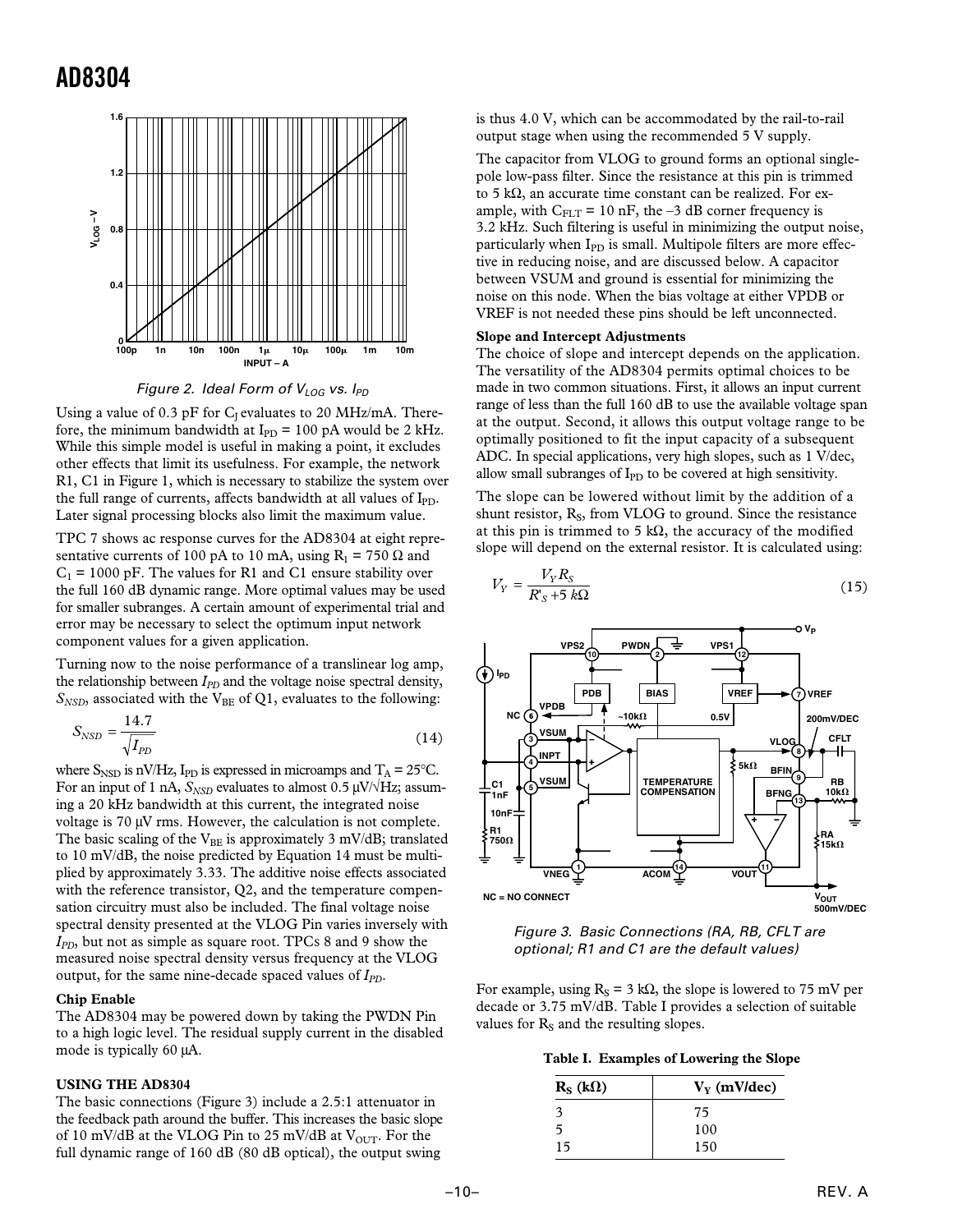



Using a value of 0.3 pF for  $C_I$  evaluates to 20 MHz/mA. Therefore, the minimum bandwidth at  $I_{\text{PD}} = 100 \text{ pA}$  would be 2 kHz. While this simple model is useful in making a point, it excludes other effects that limit its usefulness. For example, the network R1, C1 in Figure 1, which is necessary to stabilize the system over the full range of currents, affects bandwidth at all values of  $I_{\text{PD}}$ . Later signal processing blocks also limit the maximum value.

TPC 7 shows ac response curves for the AD8304 at eight representative currents of 100 pA to 10 mA, using  $R_1 = 750 \Omega$  and  $C_1$  = 1000 pF. The values for R1 and C1 ensure stability over the full 160 dB dynamic range. More optimal values may be used for smaller subranges. A certain amount of experimental trial and error may be necessary to select the optimum input network component values for a given application.

Turning now to the noise performance of a translinear log amp, the relationship between *I<sub>PD</sub>* and the voltage noise spectral density,  $S_{NSD}$ , associated with the V<sub>BE</sub> of Q1, evaluates to the following:

$$
S_{NSD} = \frac{14.7}{\sqrt{I_{PD}}} \tag{14}
$$

where  $S_{\text{NSD}}$  is nV/Hz, I<sub>PD</sub> is expressed in microamps and  $T_A = 25^{\circ}C$ . For an input of 1 nA,  $S_{NSD}$  evaluates to almost 0.5  $\mu$ V/ $\forall$ Hz; assuming a 20 kHz bandwidth at this current, the integrated noise voltage is 70 µV rms. However, the calculation is not complete. The basic scaling of the  $V_{BE}$  is approximately 3 mV/dB; translated to 10 mV/dB, the noise predicted by Equation 14 must be multiplied by approximately 3.33. The additive noise effects associated with the reference transistor, Q2, and the temperature compensation circuitry must also be included. The final voltage noise spectral density presented at the VLOG Pin varies inversely with *I<sub>PD</sub>*, but not as simple as square root. TPCs 8 and 9 show the measured noise spectral density versus frequency at the VLOG output, for the same nine-decade spaced values of *IPD*.

#### **Chip Enable**

The AD8304 may be powered down by taking the PWDN Pin to a high logic level. The residual supply current in the disabled mode is typically 60 µA.

#### **USING THE AD8304**

The basic connections (Figure 3) include a 2.5:1 attenuator in the feedback path around the buffer. This increases the basic slope of 10 mV/dB at the VLOG Pin to 25 mV/dB at  $V_{\text{OUT}}$ . For the full dynamic range of 160 dB (80 dB optical), the output swing

is thus 4.0 V, which can be accommodated by the rail-to-rail output stage when using the recommended 5 V supply.

The capacitor from VLOG to ground forms an optional singlepole low-pass filter. Since the resistance at this pin is trimmed to 5 kΩ, an accurate time constant can be realized. For example, with  $C_{FLT}$  = 10 nF, the -3 dB corner frequency is 3.2 kHz. Such filtering is useful in minimizing the output noise, particularly when  $I_{PD}$  is small. Multipole filters are more effective in reducing noise, and are discussed below. A capacitor between VSUM and ground is essential for minimizing the noise on this node. When the bias voltage at either VPDB or VREF is not needed these pins should be left unconnected.

#### **Slope and Intercept Adjustments**

The choice of slope and intercept depends on the application. The versatility of the AD8304 permits optimal choices to be made in two common situations. First, it allows an input current range of less than the full 160 dB to use the available voltage span at the output. Second, it allows this output voltage range to be optimally positioned to fit the input capacity of a subsequent ADC. In special applications, very high slopes, such as 1 V/dec, allow small subranges of  $I_{PD}$  to be covered at high sensitivity.

The slope can be lowered without limit by the addition of a shunt resistor,  $R<sub>S</sub>$ , from VLOG to ground. Since the resistance at this pin is trimmed to 5 k $\Omega$ , the accuracy of the modified slope will depend on the external resistor. It is calculated using:

$$
V_Y = \frac{V_Y R_S}{R_S' + 5 k\Omega} \tag{15}
$$



Figure 3. Basic Connections (RA, RB, CFLT are optional; R1 and C1 are the default values)

For example, using  $R_s = 3 k\Omega$ , the slope is lowered to 75 mV per decade or 3.75 mV/dB. Table I provides a selection of suitable values for  $R<sub>S</sub>$  and the resulting slopes.

|  |  |  |  |  |  |  | Table I. Examples of Lowering the Slope |  |  |
|--|--|--|--|--|--|--|-----------------------------------------|--|--|
|--|--|--|--|--|--|--|-----------------------------------------|--|--|

| $R_S(k\Omega)$ | $V_Y$ (mV/dec) |
|----------------|----------------|
| 3              | 75             |
| ጎ              | 100            |
| 15             | 150            |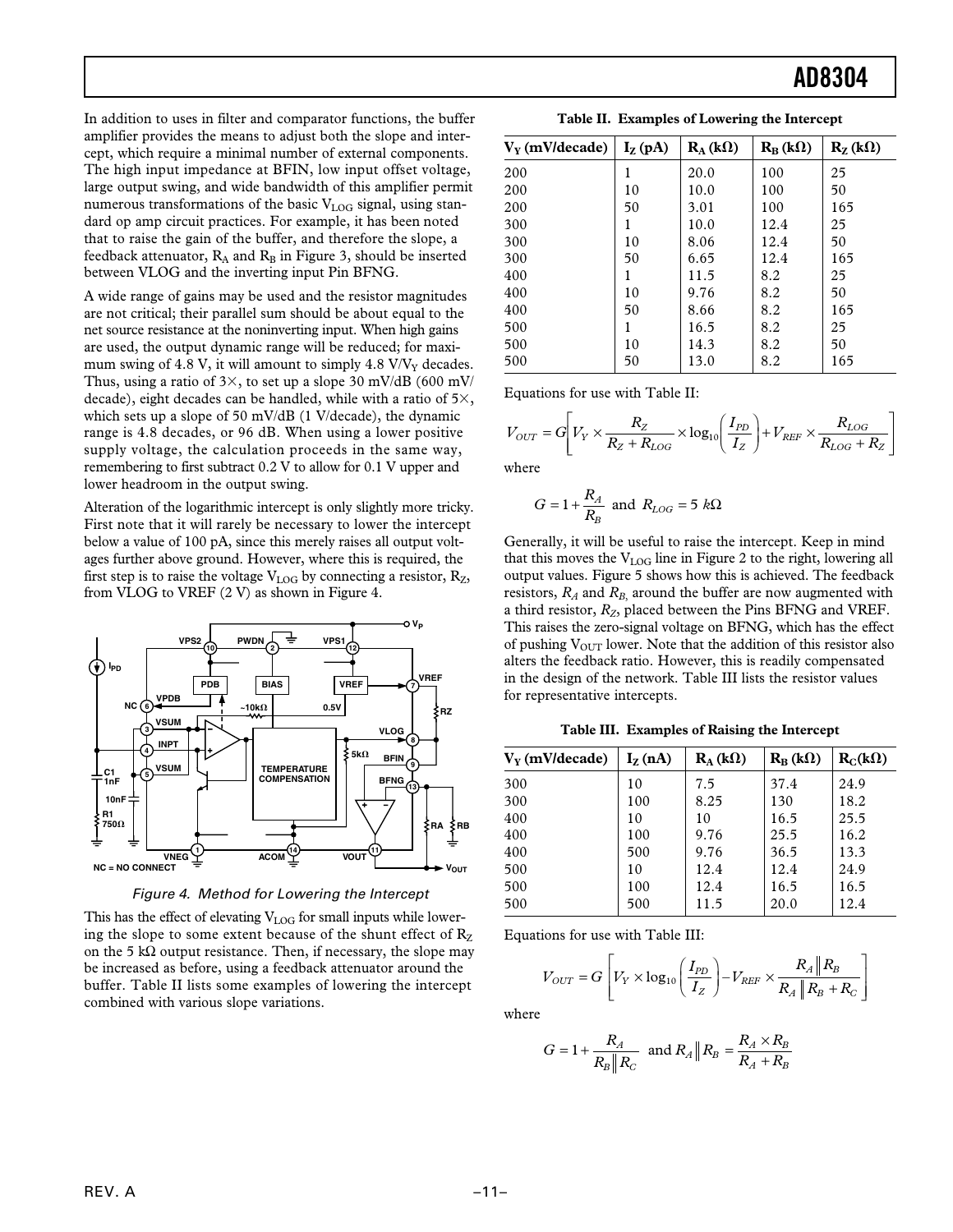In addition to uses in filter and comparator functions, the buffer amplifier provides the means to adjust both the slope and intercept, which require a minimal number of external components. The high input impedance at BFIN, low input offset voltage, large output swing, and wide bandwidth of this amplifier permit numerous transformations of the basic  $V_{\text{LOG}}$  signal, using standard op amp circuit practices. For example, it has been noted that to raise the gain of the buffer, and therefore the slope, a feedback attenuator,  $R_A$  and  $R_B$  in Figure 3, should be inserted between VLOG and the inverting input Pin BFNG.

A wide range of gains may be used and the resistor magnitudes are not critical; their parallel sum should be about equal to the net source resistance at the noninverting input. When high gains are used, the output dynamic range will be reduced; for maximum swing of 4.8 V, it will amount to simply 4.8  $V/V<sub>y</sub>$  decades. Thus, using a ratio of  $3\times$ , to set up a slope 30 mV/dB (600 mV/ decade), eight decades can be handled, while with a ratio of  $5\times$ , which sets up a slope of 50 mV/dB (1 V/decade), the dynamic range is 4.8 decades, or 96 dB. When using a lower positive supply voltage, the calculation proceeds in the same way, remembering to first subtract 0.2 V to allow for 0.1 V upper and lower headroom in the output swing.

Alteration of the logarithmic intercept is only slightly more tricky. First note that it will rarely be necessary to lower the intercept below a value of 100 pA, since this merely raises all output voltages further above ground. However, where this is required, the first step is to raise the voltage  $V_{LOG}$  by connecting a resistor,  $R_Z$ , from VLOG to VREF (2 V) as shown in Figure 4.



Figure 4. Method for Lowering the Intercept

This has the effect of elevating  $V_{LOG}$  for small inputs while lowering the slope to some extent because of the shunt effect of  $R_Z$ on the 5 kΩ output resistance. Then, if necessary, the slope may be increased as before, using a feedback attenuator around the buffer. Table II lists some examples of lowering the intercept combined with various slope variations.

| $V_{V}$ (mV/decade) | $I_{Z}$ (pA) | $R_{A}$ (k $\Omega$ ) | $R_B(k\Omega)$ | $R_7(k\Omega)$ |
|---------------------|--------------|-----------------------|----------------|----------------|
| 200                 |              | 20.0                  | 100            | 25             |
| 200                 | 10           | 10.0                  | 100            | 50             |
| 200                 | 50           | 3.01                  | 100            | 165            |
| 300                 |              | 10.0                  | 12.4           | 25             |
| 300                 | 10           | 8.06                  | 12.4           | 50             |
| 300                 | 50           | 6.65                  | 12.4           | 165            |
| 400                 |              | 11.5                  | 8.2            | 25             |
| 400                 | 10           | 9.76                  | 8.2            | 50             |
| 400                 | 50           | 8.66                  | 8.2            | 165            |
| 500                 |              | 16.5                  | 8.2            | 25             |
| 500                 | 10           | 14.3                  | 8.2            | 50             |
| 500                 | 50           | 13.0                  | 8.2            | 165            |

**Table II. Examples of Lowering the Intercept**

Equations for use with Table II:

$$
V_{OUT} = G \left[ V_Y \times \frac{R_Z}{R_Z + R_{LOG}} \times \log_{10} \left( \frac{I_{PD}}{I_Z} \right) + V_{REF} \times \frac{R_{LOG}}{R_{LOG} + R_Z} \right]
$$

where

$$
G = 1 + \frac{R_A}{R_B} \text{ and } R_{LOG} = 5 \ k\Omega
$$

Generally, it will be useful to raise the intercept. Keep in mind that this moves the  $V_{LOG}$  line in Figure 2 to the right, lowering all output values. Figure 5 shows how this is achieved. The feedback resistors,  $R_A$  and  $R_B$  around the buffer are now augmented with a third resistor,  $R_Z$ , placed between the Pins BFNG and VREF. This raises the zero-signal voltage on BFNG, which has the effect of pushing  $V_{\text{OUT}}$  lower. Note that the addition of this resistor also alters the feedback ratio. However, this is readily compensated in the design of the network. Table III lists the resistor values for representative intercepts.

**Table III. Examples of Raising the Intercept**

| $V_{V}$ (mV/decade) | $I_{Z}$ (nA) | $\mathbf{R}_{\rm A}$ (k $\Omega$ ) | $R_B(k\Omega)$ | $R_C(k\Omega)$ |
|---------------------|--------------|------------------------------------|----------------|----------------|
| 300                 | 10           | 7.5                                | 37.4           | 24.9           |
| 300                 | 100          | 8.25                               | 130            | 18.2           |
| 400                 | 10           | 10                                 | 16.5           | 25.5           |
| 400                 | 100          | 9.76                               | 25.5           | 16.2           |
| 400                 | 500          | 9.76                               | 36.5           | 13.3           |
| 500                 | 10           | 12.4                               | 12.4           | 24.9           |
| 500                 | 100          | 12.4                               | 16.5           | 16.5           |
| 500                 | 500          | 11.5                               | 20.0           | 12.4           |

Equations for use with Table III:

$$
V_{OUT} = G \left[ V_Y \times \log_{10} \left( \frac{I_{PD}}{I_Z} \right) - V_{REF} \times \frac{R_A \| R_B}{R_A \| R_B + R_C} \right]
$$

where

$$
G = 1 + \frac{R_A}{R_B \| R_C}
$$
 and  $R_A \| R_B = \frac{R_A \times R_B}{R_A + R_B}$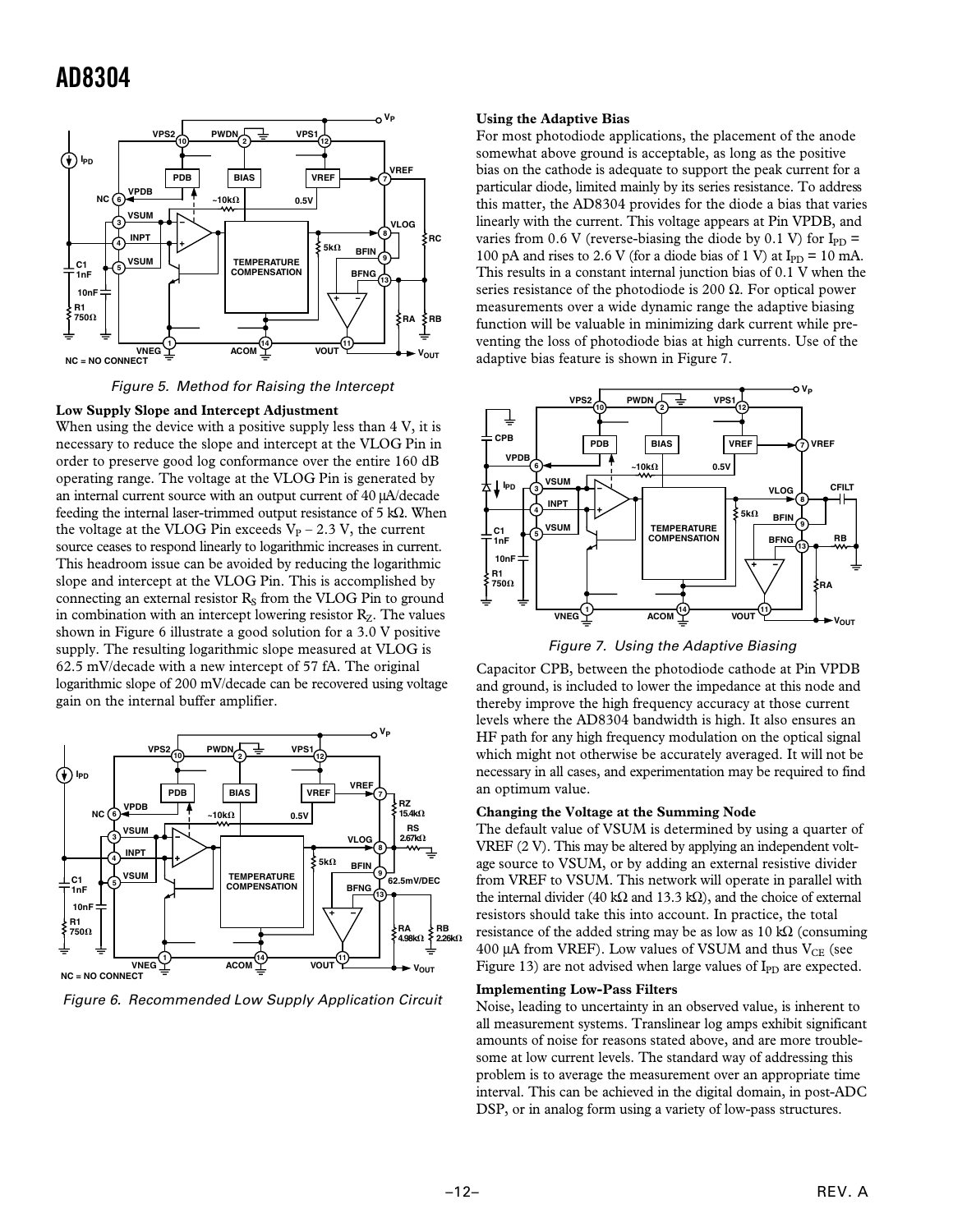

Figure 5. Method for Raising the Intercept

#### **Low Supply Slope and Intercept Adjustment**

When using the device with a positive supply less than 4 V, it is necessary to reduce the slope and intercept at the VLOG Pin in order to preserve good log conformance over the entire 160 dB operating range. The voltage at the VLOG Pin is generated by an internal current source with an output current of 40 µA/decade feeding the internal laser-trimmed output resistance of 5 kΩ. When the voltage at the VLOG Pin exceeds  $V_P$  – 2.3 V, the current source ceases to respond linearly to logarithmic increases in current. This headroom issue can be avoided by reducing the logarithmic slope and intercept at the VLOG Pin. This is accomplished by connecting an external resistor  $R<sub>S</sub>$  from the VLOG Pin to ground in combination with an intercept lowering resistor  $R_z$ . The values shown in Figure 6 illustrate a good solution for a 3.0 V positive supply. The resulting logarithmic slope measured at VLOG is 62.5 mV/decade with a new intercept of 57 fA. The original logarithmic slope of 200 mV/decade can be recovered using voltage gain on the internal buffer amplifier.



Figure 6. Recommended Low Supply Application Circuit

#### **Using the Adaptive Bias**

For most photodiode applications, the placement of the anode somewhat above ground is acceptable, as long as the positive bias on the cathode is adequate to support the peak current for a particular diode, limited mainly by its series resistance. To address this matter, the AD8304 provides for the diode a bias that varies linearly with the current. This voltage appears at Pin VPDB, and varies from 0.6 V (reverse-biasing the diode by 0.1 V) for  $I_{PD}$  = 100 pA and rises to 2.6 V (for a diode bias of 1 V) at  $I_{PD} = 10$  mA. This results in a constant internal junction bias of 0.1 V when the series resistance of the photodiode is 200  $\Omega$ . For optical power measurements over a wide dynamic range the adaptive biasing function will be valuable in minimizing dark current while preventing the loss of photodiode bias at high currents. Use of the adaptive bias feature is shown in Figure 7.



Figure 7. Using the Adaptive Biasing

Capacitor CPB, between the photodiode cathode at Pin VPDB and ground, is included to lower the impedance at this node and thereby improve the high frequency accuracy at those current levels where the AD8304 bandwidth is high. It also ensures an HF path for any high frequency modulation on the optical signal which might not otherwise be accurately averaged. It will not be necessary in all cases, and experimentation may be required to find an optimum value.

#### **Changing the Voltage at the Summing Node**

The default value of VSUM is determined by using a quarter of VREF (2 V). This may be altered by applying an independent voltage source to VSUM, or by adding an external resistive divider from VREF to VSUM. This network will operate in parallel with the internal divider (40 kΩ and 13.3 kΩ), and the choice of external resistors should take this into account. In practice, the total resistance of the added string may be as low as  $10 \text{ k}\Omega$  (consuming 400  $\mu$ A from VREF). Low values of VSUM and thus V<sub>CE</sub> (see Figure 13) are not advised when large values of  $I_{PD}$  are expected.

#### **Implementing Low-Pass Filters**

Noise, leading to uncertainty in an observed value, is inherent to all measurement systems. Translinear log amps exhibit significant amounts of noise for reasons stated above, and are more troublesome at low current levels. The standard way of addressing this problem is to average the measurement over an appropriate time interval. This can be achieved in the digital domain, in post-ADC DSP, or in analog form using a variety of low-pass structures.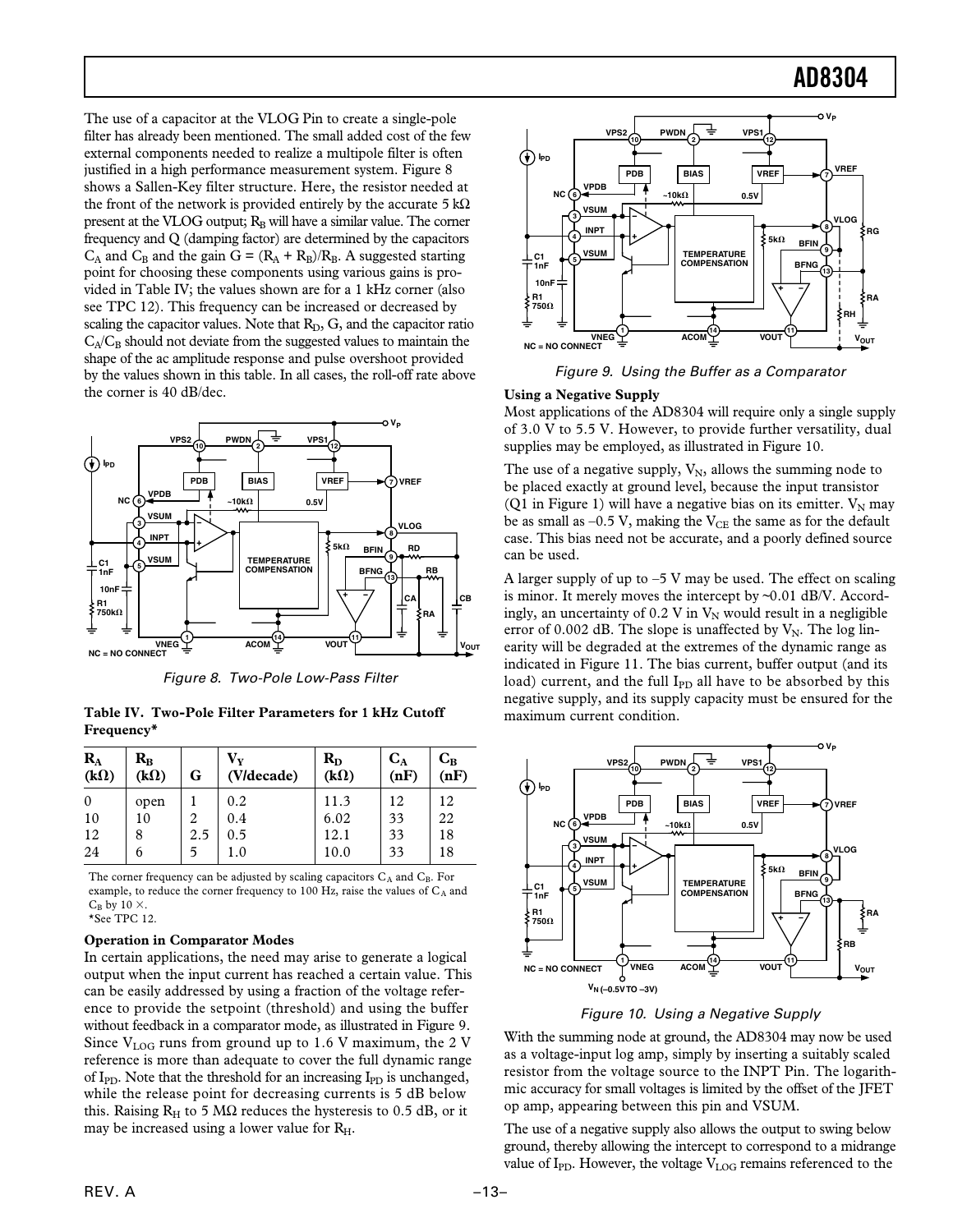The use of a capacitor at the VLOG Pin to create a single-pole filter has already been mentioned. The small added cost of the few external components needed to realize a multipole filter is often justified in a high performance measurement system. Figure 8 shows a Sallen-Key filter structure. Here, the resistor needed at the front of the network is provided entirely by the accurate 5 kΩ present at the VLOG output;  $R_B$  will have a similar value. The corner frequency and Q (damping factor) are determined by the capacitors  $C_A$  and  $C_B$  and the gain  $G = (R_A + R_B)/R_B$ . A suggested starting point for choosing these components using various gains is provided in Table IV; the values shown are for a 1 kHz corner (also see TPC 12). This frequency can be increased or decreased by scaling the capacitor values. Note that  $R_D$ ,  $G$ , and the capacitor ratio  $C_A/C_B$  should not deviate from the suggested values to maintain the shape of the ac amplitude response and pulse overshoot provided by the values shown in this table. In all cases, the roll-off rate above the corner is 40 dB/dec.



Figure 8. Two-Pole Low-Pass Filter

**Table IV. Two-Pole Filter Parameters for 1 kHz Cutoff Frequency\***

| $R_{A}$<br>$(k\Omega)$ | $\mathbf{R}_{\mathbf{B}}$<br>$(k\Omega)$ | G   | $\mathbf{V}_{\mathbf{v}}$<br>(V/decade) | $R_{D}$<br>$(k\Omega)$ | $C_A$<br>(nF) | $C_B$<br>(nF) |
|------------------------|------------------------------------------|-----|-----------------------------------------|------------------------|---------------|---------------|
| $\Omega$               | open                                     |     | 0.2                                     | 11.3                   | 12            | 12            |
| 10                     | 10                                       | 2   | 0.4                                     | 6.02                   | 33            | 22            |
| 12                     | 8                                        | 2.5 | 0.5                                     | 12.1                   | 33            | 18            |
| 24                     | 6                                        |     | $1.0\,$                                 | 10.0                   | 33            | 18            |

The corner frequency can be adjusted by scaling capacitors  $C_A$  and  $C_B$ . For example, to reduce the corner frequency to 100 Hz, raise the values of  $C_A$  and  $C_B$  by 10  $\times$ . \*See TPC 12.

#### **Operation in Comparator Modes**

In certain applications, the need may arise to generate a logical output when the input current has reached a certain value. This can be easily addressed by using a fraction of the voltage reference to provide the setpoint (threshold) and using the buffer without feedback in a comparator mode, as illustrated in Figure 9. Since  $V_{\text{LOG}}$  runs from ground up to 1.6 V maximum, the 2 V reference is more than adequate to cover the full dynamic range of I<sub>PD</sub>. Note that the threshold for an increasing I<sub>PD</sub> is unchanged, while the release point for decreasing currents is 5 dB below this. Raising  $R_H$  to 5 M $\Omega$  reduces the hysteresis to 0.5 dB, or it may be increased using a lower value for  $R_H$ .



Figure 9. Using the Buffer as a Comparator

#### **Using a Negative Supply**

Most applications of the AD8304 will require only a single supply of 3.0 V to 5.5 V. However, to provide further versatility, dual supplies may be employed, as illustrated in Figure 10.

The use of a negative supply,  $V_N$ , allows the summing node to be placed exactly at ground level, because the input transistor (Q1 in Figure 1) will have a negative bias on its emitter.  $V_N$  may be as small as  $-0.5$  V, making the  $V_{CE}$  the same as for the default case. This bias need not be accurate, and a poorly defined source can be used.

A larger supply of up to  $-5$  V may be used. The effect on scaling is minor. It merely moves the intercept by ~0.01 dB/V. Accordingly, an uncertainty of  $0.2$  V in  $V_N$  would result in a negligible error of 0.002 dB. The slope is unaffected by  $V_N$ . The log linearity will be degraded at the extremes of the dynamic range as indicated in Figure 11. The bias current, buffer output (and its load) current, and the full  $I_{PD}$  all have to be absorbed by this negative supply, and its supply capacity must be ensured for the maximum current condition.



Figure 10. Using a Negative Supply

With the summing node at ground, the AD8304 may now be used as a voltage-input log amp, simply by inserting a suitably scaled resistor from the voltage source to the INPT Pin. The logarithmic accuracy for small voltages is limited by the offset of the JFET op amp, appearing between this pin and VSUM.

The use of a negative supply also allows the output to swing below ground, thereby allowing the intercept to correspond to a midrange value of I<sub>PD</sub>. However, the voltage  $V_{LOG}$  remains referenced to the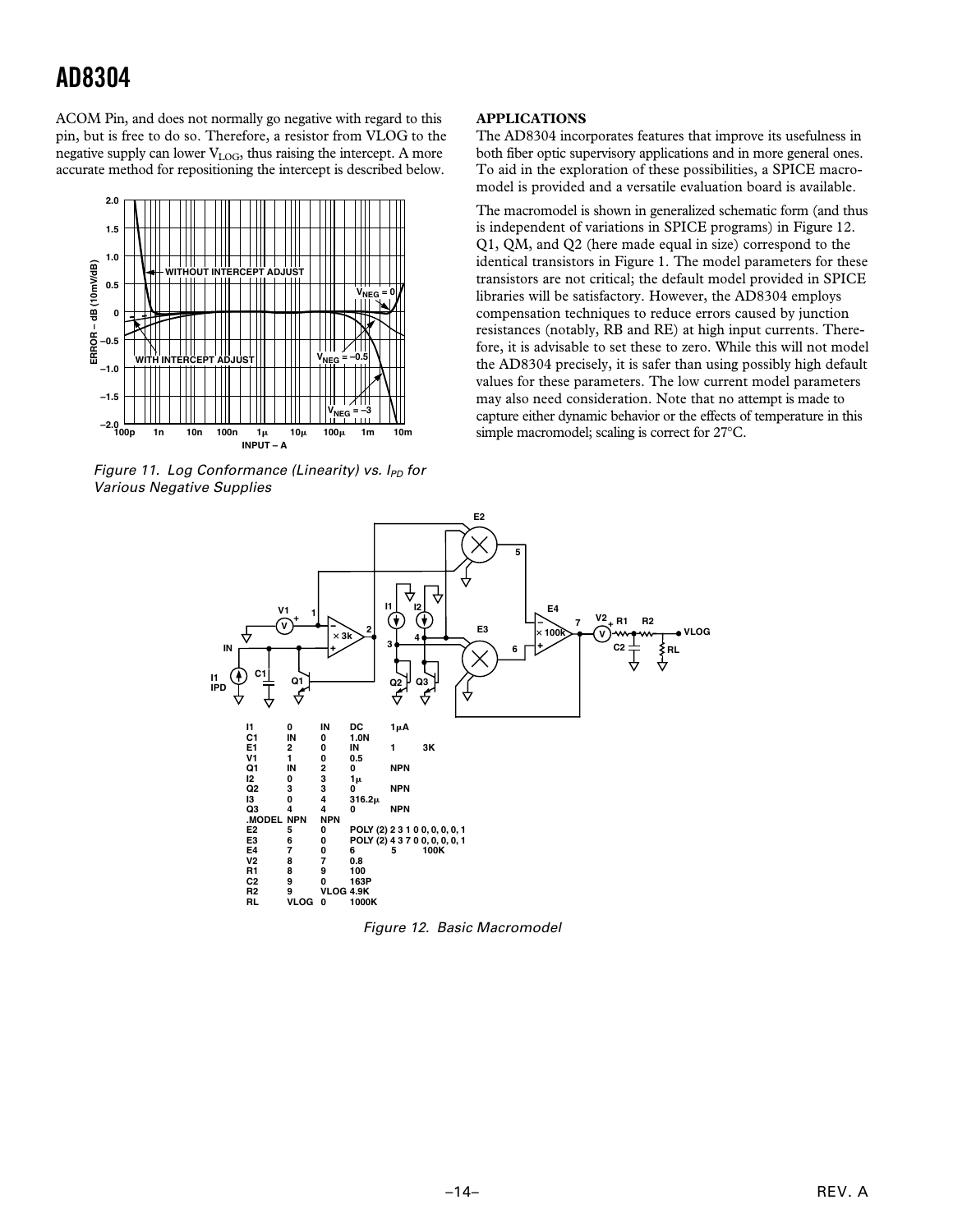ACOM Pin, and does not normally go negative with regard to this pin, but is free to do so. Therefore, a resistor from VLOG to the negative supply can lower  $V_{LOG}$ , thus raising the intercept. A more accurate method for repositioning the intercept is described below.



Figure 11. Log Conformance (Linearity) vs.  $I_{PD}$  for Various Negative Supplies

#### **APPLICATIONS**

The AD8304 incorporates features that improve its usefulness in both fiber optic supervisory applications and in more general ones. To aid in the exploration of these possibilities, a SPICE macromodel is provided and a versatile evaluation board is available.

The macromodel is shown in generalized schematic form (and thus is independent of variations in SPICE programs) in Figure 12. Q1, QM, and Q2 (here made equal in size) correspond to the identical transistors in Figure 1. The model parameters for these transistors are not critical; the default model provided in SPICE libraries will be satisfactory. However, the AD8304 employs compensation techniques to reduce errors caused by junction resistances (notably, RB and RE) at high input currents. Therefore, it is advisable to set these to zero. While this will not model the AD8304 precisely, it is safer than using possibly high default values for these parameters. The low current model parameters may also need consideration. Note that no attempt is made to capture either dynamic behavior or the effects of temperature in this simple macromodel; scaling is correct for 27°C.



Figure 12. Basic Macromodel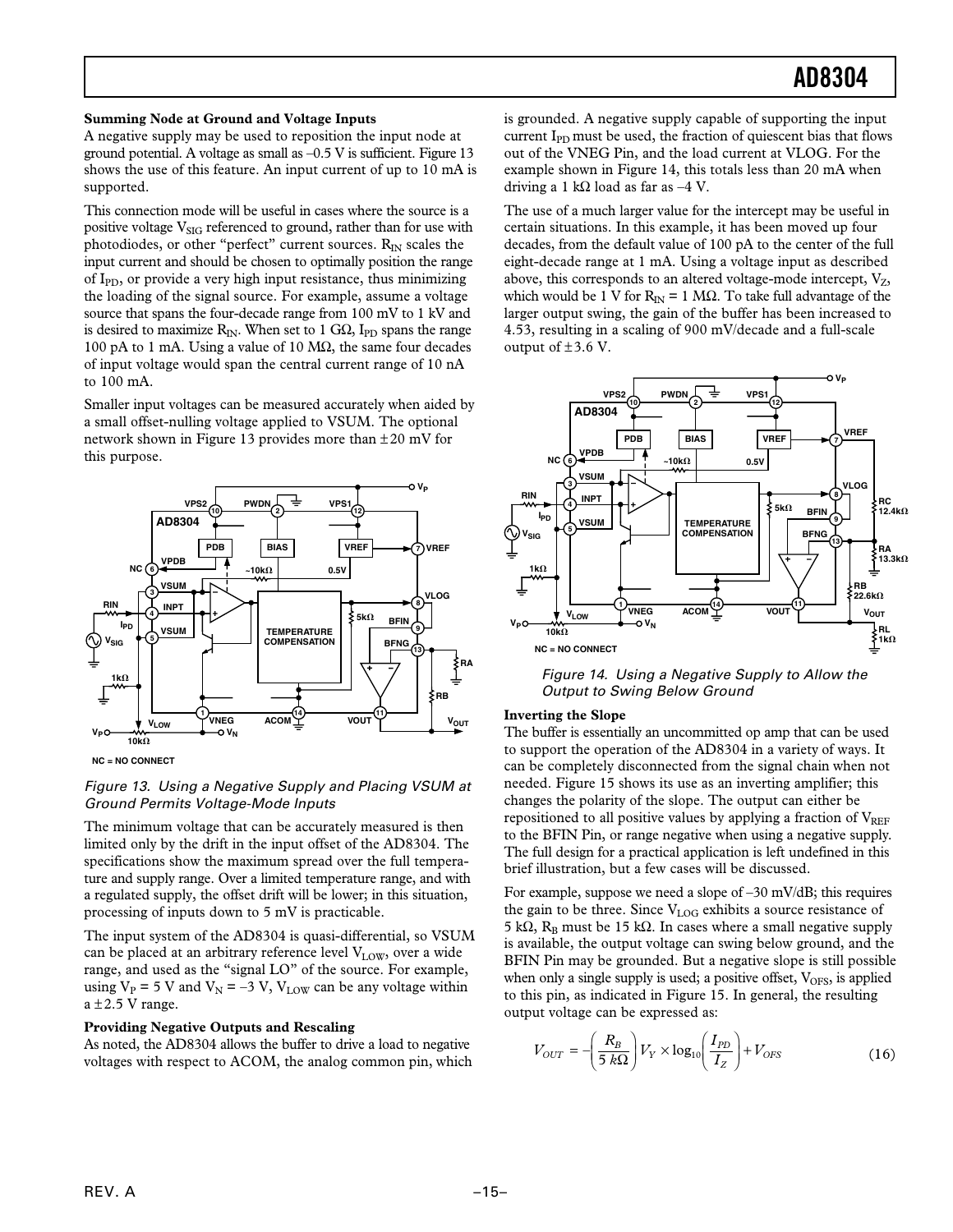#### **Summing Node at Ground and Voltage Inputs**

A negative supply may be used to reposition the input node at ground potential. A voltage as small as –0.5 V is sufficient. Figure 13 shows the use of this feature. An input current of up to 10 mA is supported.

This connection mode will be useful in cases where the source is a positive voltage  $V_{\text{SIG}}$  referenced to ground, rather than for use with photodiodes, or other "perfect" current sources.  $R_{IN}$  scales the input current and should be chosen to optimally position the range of  $I_{PD}$ , or provide a very high input resistance, thus minimizing the loading of the signal source. For example, assume a voltage source that spans the four-decade range from 100 mV to 1 kV and is desired to maximize R<sub>IN</sub>. When set to 1 GΩ, I<sub>PD</sub> spans the range 100 pA to 1 mA. Using a value of 10 MΩ, the same four decades of input voltage would span the central current range of 10 nA to 100 mA.

Smaller input voltages can be measured accurately when aided by a small offset-nulling voltage applied to VSUM. The optional network shown in Figure 13 provides more than  $\pm 20$  mV for this purpose.



**NC = NO CONNECT**

#### Figure 13. Using a Negative Supply and Placing VSUM at Ground Permits Voltage-Mode Inputs

The minimum voltage that can be accurately measured is then limited only by the drift in the input offset of the AD8304. The specifications show the maximum spread over the full temperature and supply range. Over a limited temperature range, and with a regulated supply, the offset drift will be lower; in this situation, processing of inputs down to 5 mV is practicable.

The input system of the AD8304 is quasi-differential, so VSUM can be placed at an arbitrary reference level  $V_{LOW}$ , over a wide range, and used as the "signal LO" of the source. For example, using  $V_P = 5$  V and  $V_N = -3$  V,  $V_{LOW}$  can be any voltage within  $a \pm 2.5$  V range.

#### **Providing Negative Outputs and Rescaling**

As noted, the AD8304 allows the buffer to drive a load to negative voltages with respect to ACOM, the analog common pin, which is grounded. A negative supply capable of supporting the input current I<sub>PD</sub> must be used, the fraction of quiescent bias that flows out of the VNEG Pin, and the load current at VLOG. For the example shown in Figure 14, this totals less than 20 mA when driving a 1 kΩ load as far as  $-4$  V.

The use of a much larger value for the intercept may be useful in certain situations. In this example, it has been moved up four decades, from the default value of 100 pA to the center of the full eight-decade range at 1 mA. Using a voltage input as described above, this corresponds to an altered voltage-mode intercept,  $V_z$ , which would be 1 V for R<sub>IN</sub> = 1 MΩ. To take full advantage of the larger output swing, the gain of the buffer has been increased to 4.53, resulting in a scaling of 900 mV/decade and a full-scale output of  $\pm 3.6$  V.



Figure 14. Using a Negative Supply to Allow the Output to Swing Below Ground

#### **Inverting the Slope**

The buffer is essentially an uncommitted op amp that can be used to support the operation of the AD8304 in a variety of ways. It can be completely disconnected from the signal chain when not needed. Figure 15 shows its use as an inverting amplifier; this changes the polarity of the slope. The output can either be repositioned to all positive values by applying a fraction of  $V_{REF}$ to the BFIN Pin, or range negative when using a negative supply. The full design for a practical application is left undefined in this brief illustration, but a few cases will be discussed.

For example, suppose we need a slope of –30 mV/dB; this requires the gain to be three. Since  $V_{LOG}$  exhibits a source resistance of 5 kΩ, R<sub>B</sub> must be 15 kΩ. In cases where a small negative supply is available, the output voltage can swing below ground, and the BFIN Pin may be grounded. But a negative slope is still possible when only a single supply is used; a positive offset,  $V_{\text{OFS}}$ , is applied to this pin, as indicated in Figure 15. In general, the resulting output voltage can be expressed as:

$$
V_{OUT} = -\left(\frac{R_B}{5 k\Omega}\right) V_Y \times \log_{10} \left(\frac{I_{PD}}{I_Z}\right) + V_{OFS}
$$
 (16)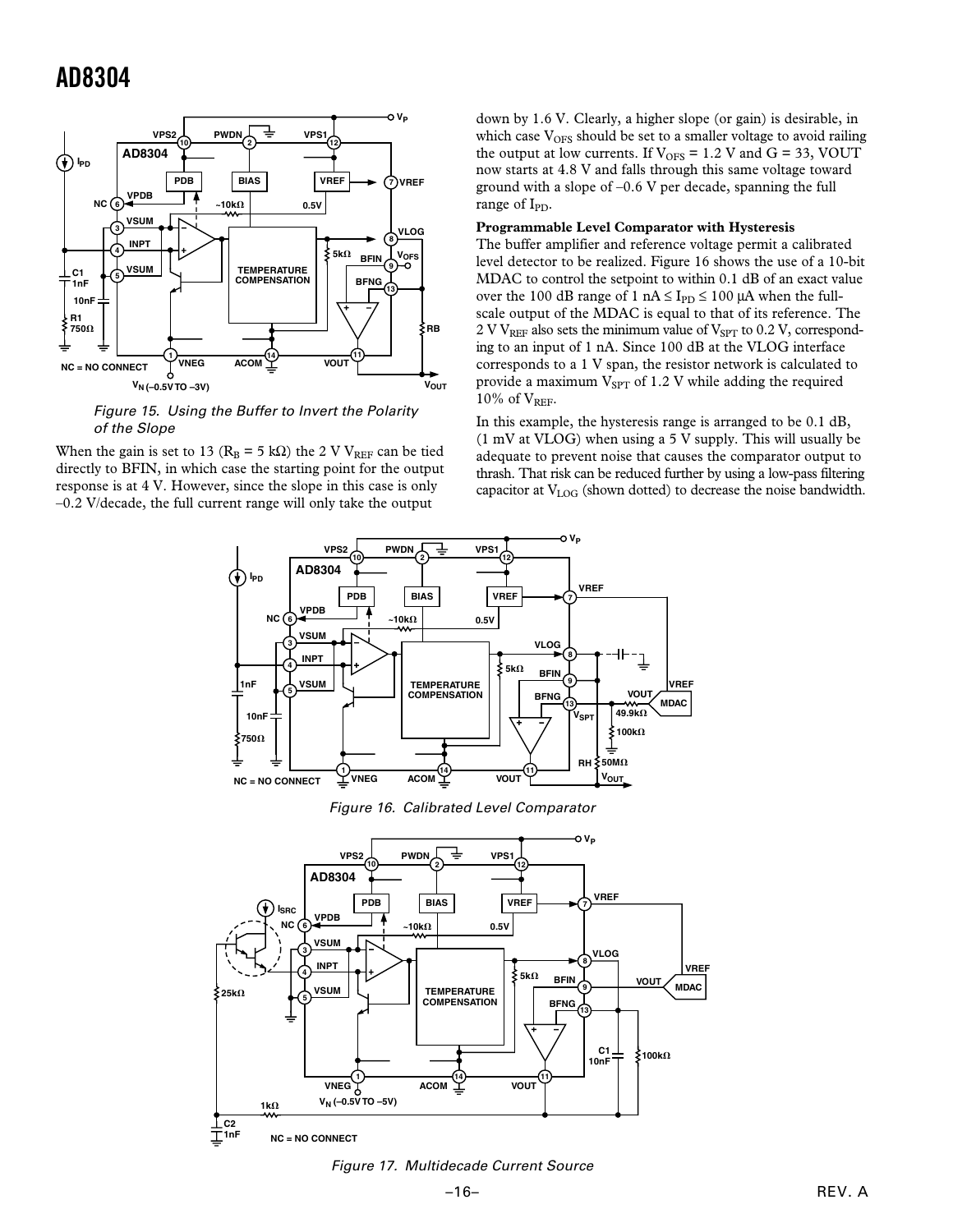

Figure 15. Using the Buffer to Invert the Polarity of the Slope

When the gain is set to 13 ( $R_B = 5$  kΩ) the 2 V V<sub>REF</sub> can be tied directly to BFIN, in which case the starting point for the output response is at 4 V. However, since the slope in this case is only –0.2 V/decade, the full current range will only take the output

down by 1.6 V. Clearly, a higher slope (or gain) is desirable, in which case  $V_{OFS}$  should be set to a smaller voltage to avoid railing the output at low currents. If  $V_{OFS} = 1.2$  V and  $G = 33$ , VOUT now starts at 4.8 V and falls through this same voltage toward ground with a slope of –0.6 V per decade, spanning the full range of  $I_{\text{PD}}$ .

#### **Programmable Level Comparator with Hysteresis**

The buffer amplifier and reference voltage permit a calibrated level detector to be realized. Figure 16 shows the use of a 10-bit MDAC to control the setpoint to within 0.1 dB of an exact value over the 100 dB range of 1 nA  $\leq$  I<sub>PD</sub>  $\leq$  100  $\mu$ A when the fullscale output of the MDAC is equal to that of its reference. The 2 V V<sub>REF</sub> also sets the minimum value of V<sub>SPT</sub> to 0.2 V, corresponding to an input of 1 nA. Since 100 dB at the VLOG interface corresponds to a 1 V span, the resistor network is calculated to provide a maximum  $V_{SPT}$  of 1.2 V while adding the required 10% of  $V_{REF}$ .

In this example, the hysteresis range is arranged to be 0.1 dB, (1 mV at VLOG) when using a 5 V supply. This will usually be adequate to prevent noise that causes the comparator output to thrash. That risk can be reduced further by using a low-pass filtering capacitor at V<sub>LOG</sub> (shown dotted) to decrease the noise bandwidth.



Figure 16. Calibrated Level Comparator



Figure 17. Multidecade Current Source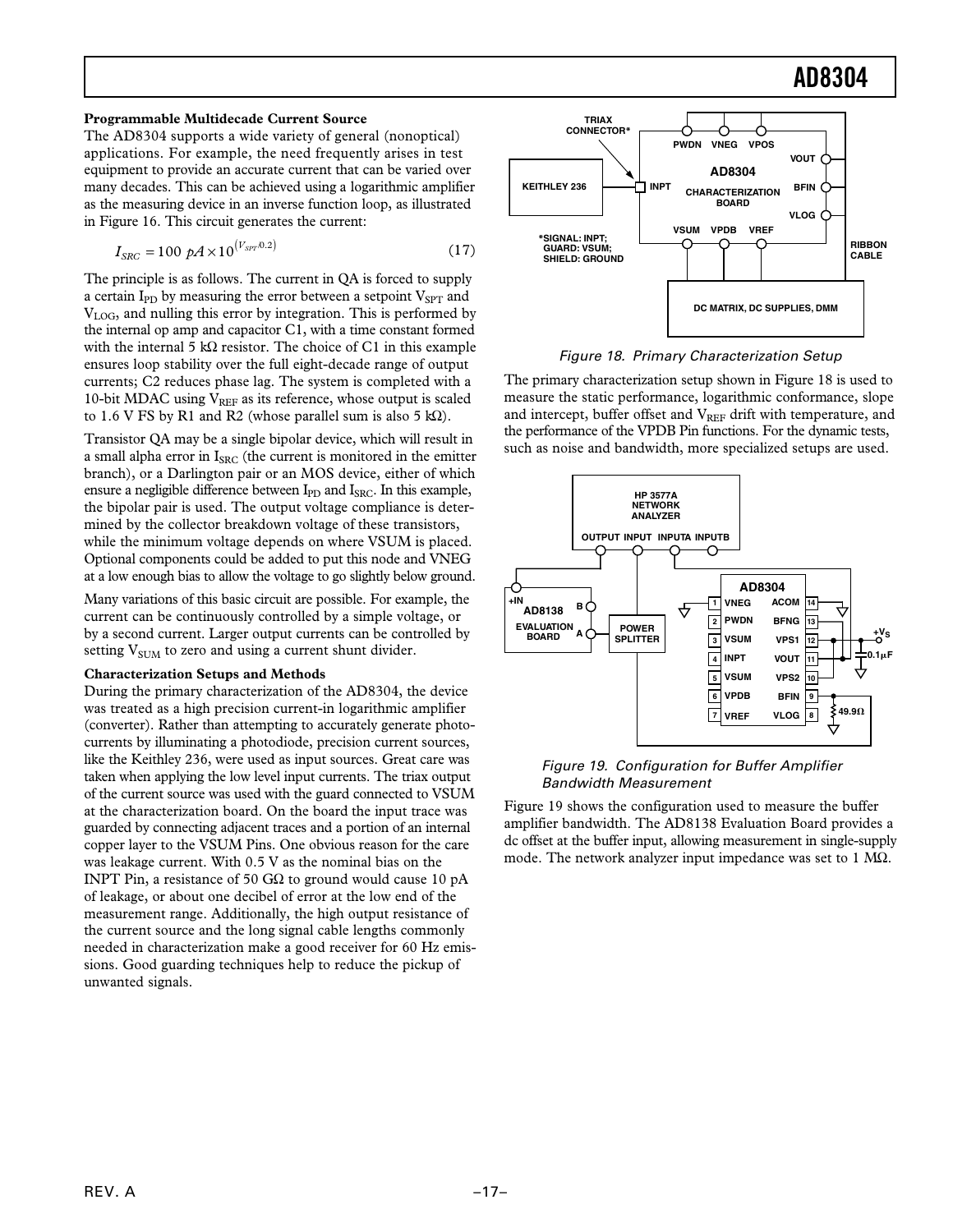#### **Programmable Multidecade Current Source**

The AD8304 supports a wide variety of general (nonoptical) applications. For example, the need frequently arises in test equipment to provide an accurate current that can be varied over many decades. This can be achieved using a logarithmic amplifier as the measuring device in an inverse function loop, as illustrated in Figure 16. This circuit generates the current:

$$
I_{SRC} = 100 \ pA \times 10^{(V_{SPT} \cdot 0.2)} \tag{17}
$$

The principle is as follows. The current in QA is forced to supply a certain  $I_{PD}$  by measuring the error between a setpoint  $V_{SPT}$  and VLOG, and nulling this error by integration. This is performed by the internal op amp and capacitor C1, with a time constant formed with the internal 5 kΩ resistor. The choice of C1 in this example ensures loop stability over the full eight-decade range of output currents; C2 reduces phase lag. The system is completed with a 10-bit MDAC using  $V_{REF}$  as its reference, whose output is scaled to 1.6 V FS by R1 and R2 (whose parallel sum is also 5 k $\Omega$ ).

Transistor QA may be a single bipolar device, which will result in a small alpha error in  $I_{SRC}$  (the current is monitored in the emitter branch), or a Darlington pair or an MOS device, either of which ensure a negligible difference between I<sub>PD</sub> and I<sub>SRC</sub>. In this example, the bipolar pair is used. The output voltage compliance is determined by the collector breakdown voltage of these transistors, while the minimum voltage depends on where VSUM is placed. Optional components could be added to put this node and VNEG at a low enough bias to allow the voltage to go slightly below ground.

Many variations of this basic circuit are possible. For example, the current can be continuously controlled by a simple voltage, or by a second current. Larger output currents can be controlled by setting  $V<sub>SUM</sub>$  to zero and using a current shunt divider.

#### **Characterization Setups and Methods**

During the primary characterization of the AD8304, the device was treated as a high precision current-in logarithmic amplifier (converter). Rather than attempting to accurately generate photocurrents by illuminating a photodiode, precision current sources, like the Keithley 236, were used as input sources. Great care was taken when applying the low level input currents. The triax output of the current source was used with the guard connected to VSUM at the characterization board. On the board the input trace was guarded by connecting adjacent traces and a portion of an internal copper layer to the VSUM Pins. One obvious reason for the care was leakage current. With 0.5 V as the nominal bias on the INPT Pin, a resistance of 50 GΩ to ground would cause 10 pA of leakage, or about one decibel of error at the low end of the measurement range. Additionally, the high output resistance of the current source and the long signal cable lengths commonly needed in characterization make a good receiver for 60 Hz emissions. Good guarding techniques help to reduce the pickup of unwanted signals.



#### Figure 18. Primary Characterization Setup

The primary characterization setup shown in Figure 18 is used to measure the static performance, logarithmic conformance, slope and intercept, buffer offset and  $V_{REF}$  drift with temperature, and the performance of the VPDB Pin functions. For the dynamic tests, such as noise and bandwidth, more specialized setups are used.



#### Figure 19. Configuration for Buffer Amplifier Bandwidth Measurement

Figure 19 shows the configuration used to measure the buffer amplifier bandwidth. The AD8138 Evaluation Board provides a dc offset at the buffer input, allowing measurement in single-supply mode. The network analyzer input impedance was set to 1  $\text{M}\Omega$ .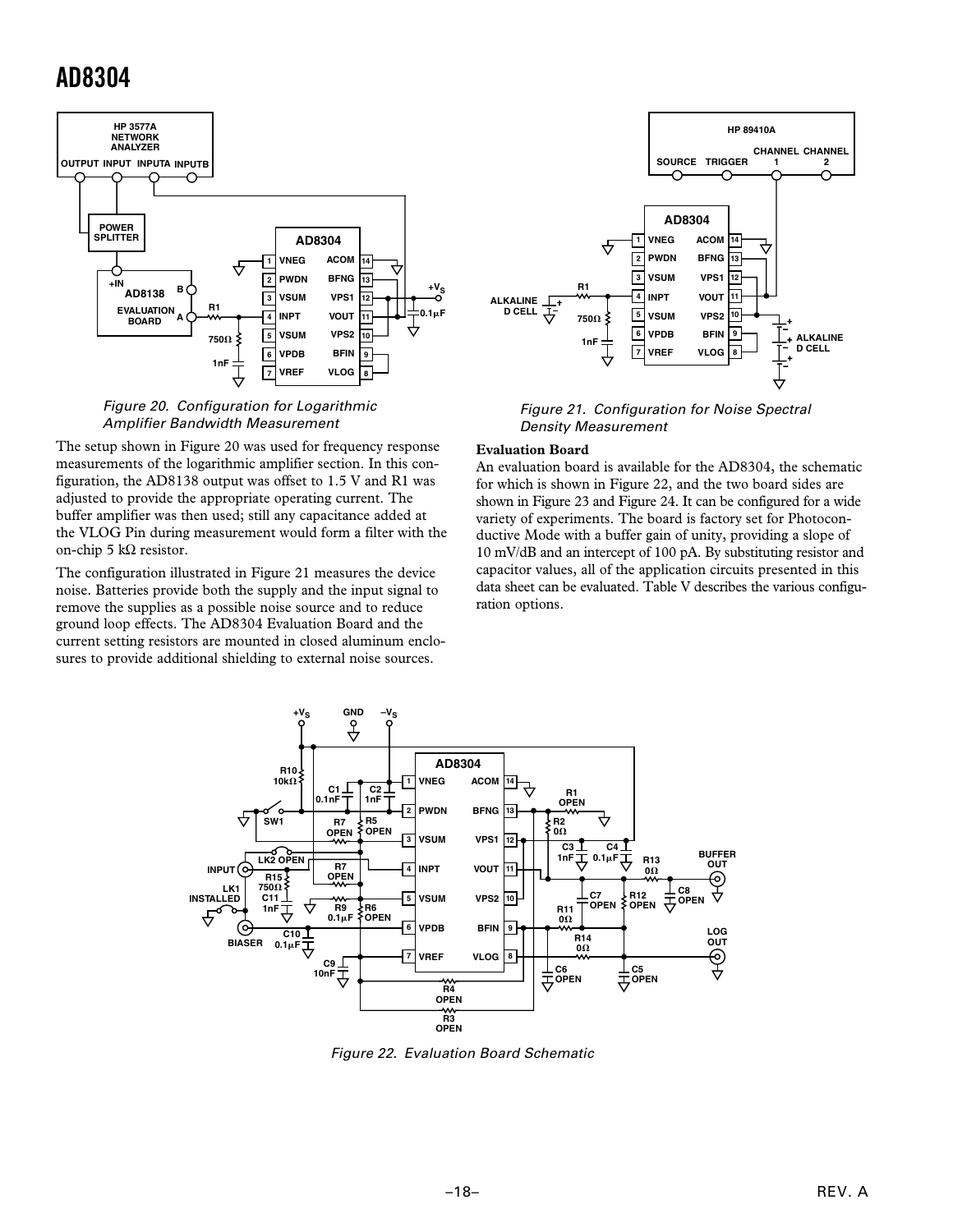

Figure 20. Configuration for Logarithmic Amplifier Bandwidth Measurement

The setup shown in Figure 20 was used for frequency response measurements of the logarithmic amplifier section. In this configuration, the AD8138 output was offset to 1.5 V and R1 was adjusted to provide the appropriate operating current. The buffer amplifier was then used; still any capacitance added at the VLOG Pin during measurement would form a filter with the on-chip 5 kΩ resistor.

The configuration illustrated in Figure 21 measures the device noise. Batteries provide both the supply and the input signal to remove the supplies as a possible noise source and to reduce ground loop effects. The AD8304 Evaluation Board and the current setting resistors are mounted in closed aluminum enclosures to provide additional shielding to external noise sources.



Figure 21. Configuration for Noise Spectral Density Measurement

#### **Evaluation Board**

An evaluation board is available for the AD8304, the schematic for which is shown in Figure 22, and the two board sides are shown in Figure 23 and Figure 24. It can be configured for a wide variety of experiments. The board is factory set for Photoconductive Mode with a buffer gain of unity, providing a slope of 10 mV/dB and an intercept of 100 pA. By substituting resistor and capacitor values, all of the application circuits presented in this data sheet can be evaluated. Table V describes the various configuration options.



Figure 22. Evaluation Board Schematic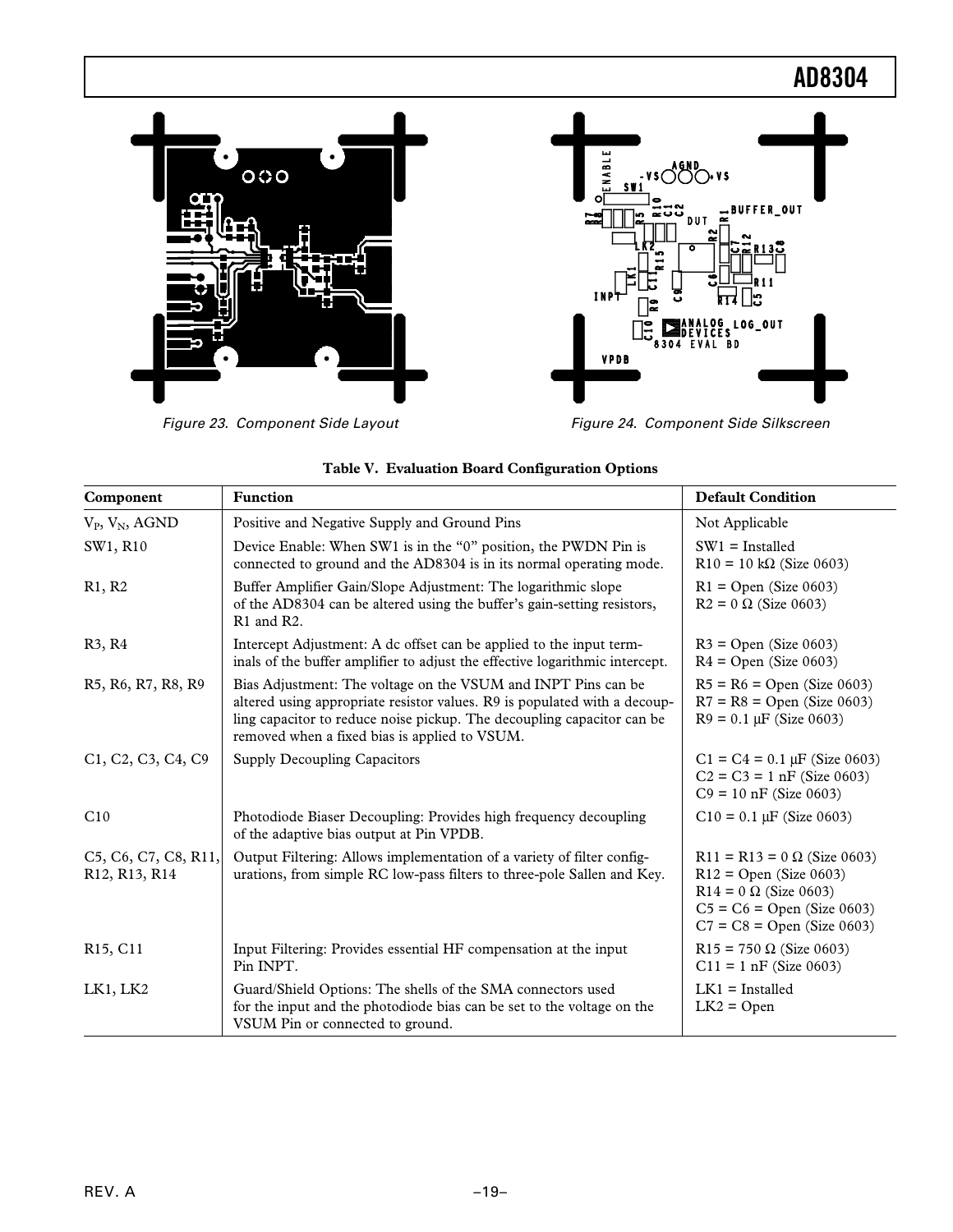

Figure 23. Component Side Layout Figure 24. Component Side Silkscreen



| Component                                                                          | <b>Function</b>                                                                                                                                                                                                                                                       | <b>Default Condition</b>                                                                                                                                       |
|------------------------------------------------------------------------------------|-----------------------------------------------------------------------------------------------------------------------------------------------------------------------------------------------------------------------------------------------------------------------|----------------------------------------------------------------------------------------------------------------------------------------------------------------|
| $V_P$ , $V_N$ , AGND                                                               | Positive and Negative Supply and Ground Pins                                                                                                                                                                                                                          | Not Applicable                                                                                                                                                 |
| SW1, R10                                                                           | Device Enable: When SW1 is in the "0" position, the PWDN Pin is<br>connected to ground and the AD8304 is in its normal operating mode.                                                                                                                                | $SW1 =$ Installed<br>$R10 = 10 k\Omega$ (Size 0603)                                                                                                            |
| R1, R2                                                                             | Buffer Amplifier Gain/Slope Adjustment: The logarithmic slope<br>of the AD8304 can be altered using the buffer's gain-setting resistors,<br>R1 and R2.                                                                                                                | $R1 =$ Open (Size 0603)<br>$R2 = 0 \Omega$ (Size 0603)                                                                                                         |
| R3, R4                                                                             | Intercept Adjustment: A dc offset can be applied to the input term-<br>inals of the buffer amplifier to adjust the effective logarithmic intercept.                                                                                                                   | $R3 =$ Open (Size 0603)<br>$R4 = Open (Size 0603)$                                                                                                             |
| R5, R6, R7, R8, R9                                                                 | Bias Adjustment: The voltage on the VSUM and INPT Pins can be<br>altered using appropriate resistor values. R9 is populated with a decoup-<br>ling capacitor to reduce noise pickup. The decoupling capacitor can be<br>removed when a fixed bias is applied to VSUM. | $R5 = R6 = Open (Size 0603)$<br>$R7 = R8 = Open (Size 0603)$<br>$R9 = 0.1 \mu F$ (Size 0603)                                                                   |
| C <sub>1</sub> , C <sub>2</sub> , C <sub>3</sub> , C <sub>4</sub> , C <sub>9</sub> | <b>Supply Decoupling Capacitors</b>                                                                                                                                                                                                                                   | $C1 = C4 = 0.1 \mu F$ (Size 0603)<br>$C2 = C3 = 1$ nF (Size 0603)<br>$C9 = 10$ nF (Size 0603)                                                                  |
| C10                                                                                | Photodiode Biaser Decoupling: Provides high frequency decoupling<br>of the adaptive bias output at Pin VPDB.                                                                                                                                                          | $C10 = 0.1$ $\mu$ F (Size 0603)                                                                                                                                |
| C5, C6, C7, C8, R11,<br>R <sub>12</sub> , R <sub>13</sub> , R <sub>14</sub>        | Output Filtering: Allows implementation of a variety of filter config-<br>urations, from simple RC low-pass filters to three-pole Sallen and Key.                                                                                                                     | R11 = R13 = $0 \Omega$ (Size 0603)<br>$R12 = Open (Size 0603)$<br>$R14 = 0 \Omega$ (Size 0603)<br>$C5 = C6 = Open (Size 0603)$<br>$C7 = C8 = Open (Size 0603)$ |
| R <sub>15</sub> , C <sub>11</sub>                                                  | Input Filtering: Provides essential HF compensation at the input<br>Pin INPT.                                                                                                                                                                                         | $R15 = 750 \Omega$ (Size 0603)<br>$C11 = 1$ nF (Size 0603)                                                                                                     |
| LK1, LK2                                                                           | Guard/Shield Options: The shells of the SMA connectors used<br>for the input and the photodiode bias can be set to the voltage on the<br>VSUM Pin or connected to ground.                                                                                             | $LK1 =$ Installed<br>$LK2 = Open$                                                                                                                              |

|  | Table V. Evaluation Board Configuration Options |  |
|--|-------------------------------------------------|--|
|  |                                                 |  |